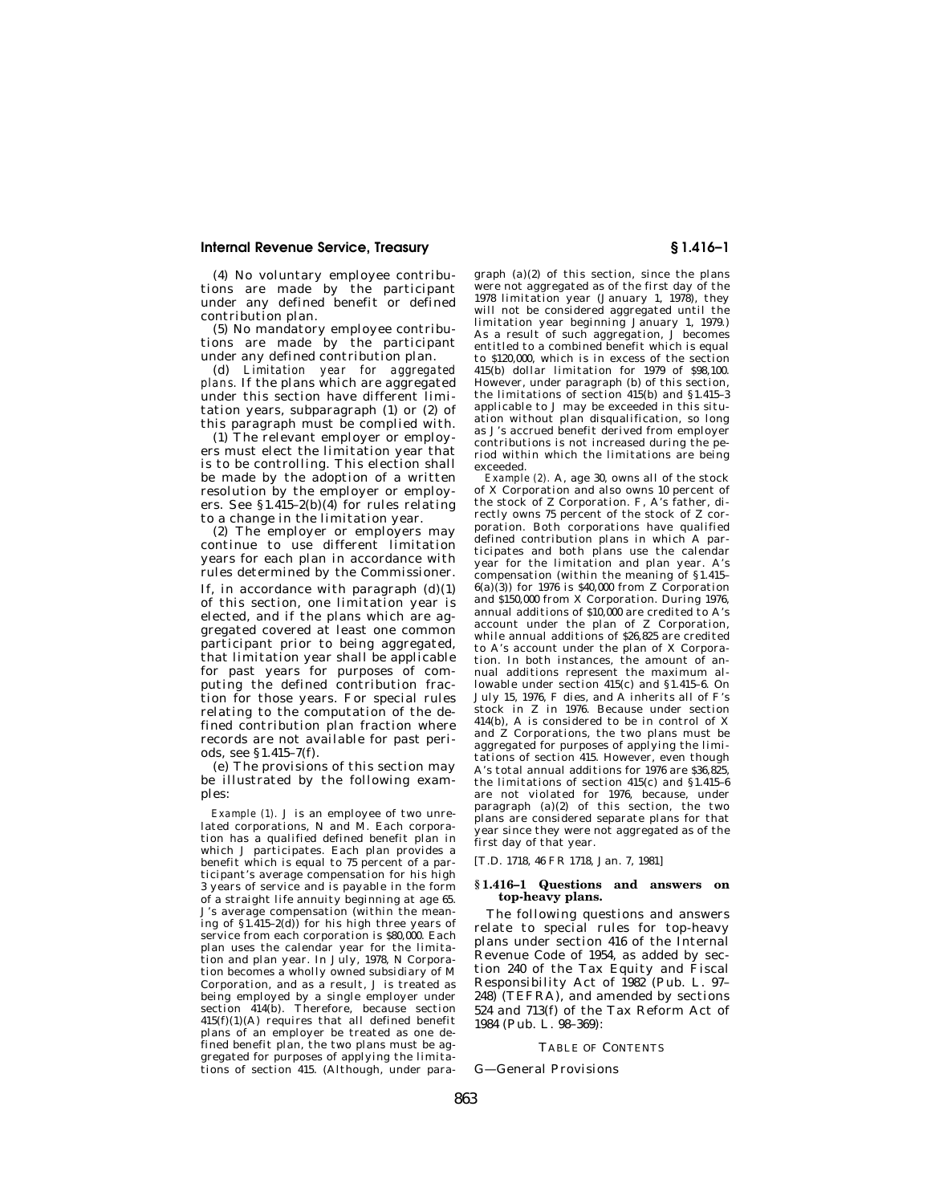(4) No voluntary employee contributions are made by the participant under any defined benefit or defined contribution plan.

(5) No mandatory employee contributions are made by the participant under any defined contribution plan.

(d) *Limitation year for aggregated plans.* If the plans which are aggregated under this section have different limitation years, subparagraph (1) or (2) of this paragraph must be complied with.

(1) The relevant employer or employers must elect the limitation year that is to be controlling. This election shall be made by the adoption of a written resolution by the employer or employers. See  $$1.415-2(b)(4)$  for rules relating to a change in the limitation year.

(2) The employer or employers may continue to use different limitation years for each plan in accordance with rules determined by the Commissioner. If, in accordance with paragraph  $(d)(1)$ of this section, one limitation year is elected, and if the plans which are aggregated covered at least one common participant prior to being aggregated, that limitation year shall be applicable for past years for purposes of computing the defined contribution fraction for those years. For special rules relating to the computation of the defined contribution plan fraction where records are not available for past periods, see §1.415–7(f).

(e) The provisions of this section may be illustrated by the following examples:

*Example (1).* J is an employee of two unrelated corporations, N and M. Each corporation has a qualified defined benefit plan in which J participates. Each plan provides a benefit which is equal to 75 percent of a participant's average compensation for his high 3 years of service and is payable in the form of a straight life annuity beginning at age 65. J's average compensation (within the meaning of  $\S1.415-2(d)$  for his high three years of service from each corporation is \$80,000. Each plan uses the calendar year for the limita-<u>.</u><br>tion and plan year. In July, 1978, N Corporation becomes a wholly owned subsidiary of M Corporation, and as a result, J is treated as being employed by a single employer under section 414(b). Therefore, because section 415(f)(1)(A) requires that all defined benefit plans of an employer be treated as one defined benefit plan, the two plans must be aggregated for purposes of applying the limitations of section 415. (Although, under para-

graph (a)(2) of this section, since the plans were not aggregated as of the first day of the 1978 limitation year (January 1, 1978), they will not be considered aggregated until the limitation year beginning January 1, 1979.) As a result of such aggregation, J becomes entitled to a combined benefit which is equal to \$120,000, which is in excess of the section 415(b) dollar limitation for 1979 of \$98,100. However, under paragraph (b) of this section, the limitations of section 415(b) and §1.415–3 applicable to J may be exceeded in this situation without plan disqualification, so long as J's accrued benefit derived from employer contributions is not increased during the period within which the limitations are being exceeded.

*Example (2).* A, age 30, owns all of the stock of X Corporation and also owns 10 percent of the stock of Z Corporation. F, A's father, directly owns 75 percent of the stock of Z corporation. Both corporations have qualified defined contribution plans in which A participates and both plans use the calendar year for the limitation and plan year. A's compensation (within the meaning of §1.415–  $6(a)(3)$ ) for 1976 is \$40,000 from Z Corporation and \$150,000 from X Corporation. During 1976, annual additions of \$10,000 are credited to A's account under the plan of Z Corporation, while annual additions of \$26,825 are credited to A's account under the plan of X Corporation. In both instances, the amount of annual additions represent the maximum allowable under section 415(c) and §1.415–6. On July 15, 1976, F dies, and A inherits all of F's stock in Z in 1976. Because under section 414(b), A is considered to be in control of X and Z Corporations, the two plans must be aggregated for purposes of applying the limitations of section 415. However, even though A's total annual additions for 1976 are \$36,825, the limitations of section 415(c) and §1.415–6 are not violated for 1976, because, under paragraph (a)(2) of this section, the two plans are considered separate plans for that year since they were not aggregated as of the first day of that year.

[T.D. 1718, 46 FR 1718, Jan. 7, 1981]

### **§ 1.416–1 Questions and answers on top-heavy plans.**

The following questions and answers relate to special rules for top-heavy plans under section 416 of the Internal Revenue Code of 1954, as added by section 240 of the Tax Equity and Fiscal Responsibility Act of 1982 (Pub. L. 97– 248) (TEFRA), and amended by sections 524 and 713(f) of the Tax Reform Act of 1984 (Pub. L. 98–369):

### TABLE OF CONTENTS

G—General Provisions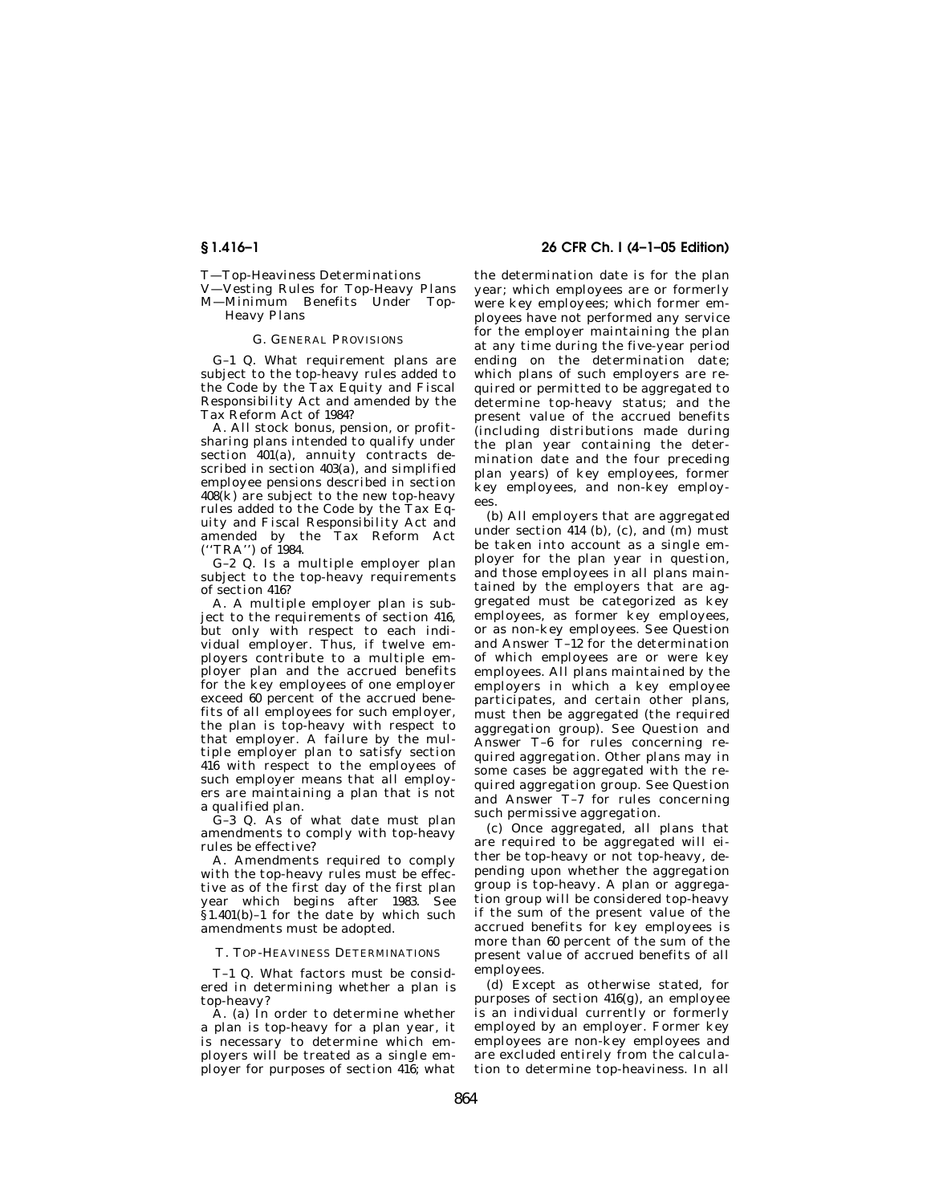T—Top-Heaviness Determinations

V—Vesting Rules for Top-Heavy Plans

## M—Minimum Benefits Under Top-Heavy Plans

## G. GENERAL PROVISIONS

G–1 Q. What requirement plans are subject to the top-heavy rules added to the Code by the Tax Equity and Fiscal Responsibility Act and amended by the Tax Reform Act of 1984?

A. All stock bonus, pension, or profitsharing plans intended to qualify under section 401(a), annuity contracts described in section 403(a), and simplified employee pensions described in section 408(k) are subject to the new top-heavy rules added to the Code by the Tax Equity and Fiscal Responsibility Act and amended by the Tax Reform Act  $('TRA')$  of 1984.

G–2 Q. Is a multiple employer plan subject to the top-heavy requirements of section 416?

A. A multiple employer plan is subject to the requirements of section 416, but only with respect to each individual employer. Thus, if twelve employers contribute to a multiple employer plan and the accrued benefits for the key employees of one employer exceed 60 percent of the accrued benefits of all employees for such employer, the plan is top-heavy with respect to that employer. A failure by the multiple employer plan to satisfy section 416 with respect to the employees of such employer means that all employers are maintaining a plan that is not a qualified plan.

G–3 Q. As of what date must plan amendments to comply with top-heavy rules be effective?

A. Amendments required to comply with the top-heavy rules must be effective as of the first day of the first plan year which begins after 1983. See  $§1.401(b)-1$  for the date by which such amendments must be adopted.

T. TOP-HEAVINESS DETERMINATIONS

T–1 Q. What factors must be considered in determining whether a plan is top-heavy?

A. (a) In order to determine whether a plan is top-heavy for a plan year, it is necessary to determine which employers will be treated as a single employer for purposes of section 416; what

## **§ 1.416–1 26 CFR Ch. I (4–1–05 Edition)**

the determination date is for the plan year; which employees are or formerly were key employees; which former employees have not performed any service for the employer maintaining the plan at any time during the five-year period ending on the determination date; which plans of such employers are required or permitted to be aggregated to determine top-heavy status; and the present value of the accrued benefits (including distributions made during the plan year containing the determination date and the four preceding plan years) of key employees, former key employees, and non-key employees.

(b) All employers that are aggregated under section 414 (b), (c), and (m) must be taken into account as a single employer for the plan year in question, and those employees in all plans maintained by the employers that are aggregated must be categorized as key employees, as former key employees, or as non-key employees. See Question and Answer T–12 for the determination of which employees are or were key employees. All plans maintained by the employers in which a key employee participates, and certain other plans, must then be aggregated (the required aggregation group). See Question and Answer T–6 for rules concerning required aggregation. Other plans may in some cases be aggregated with the required aggregation group. See Question and Answer T–7 for rules concerning such permissive aggregation.

(c) Once aggregated, all plans that are required to be aggregated will either be top-heavy or not top-heavy, depending upon whether the aggregation group is top-heavy. A plan or aggregation group will be considered top-heavy if the sum of the present value of the accrued benefits for key employees is more than 60 percent of the sum of the present value of accrued benefits of all employees.

(d) Except as otherwise stated, for purposes of section 416(g), an employee is an individual currently or formerly employed by an employer. Former key employees are non-key employees and are excluded entirely from the calculation to determine top-heaviness. In all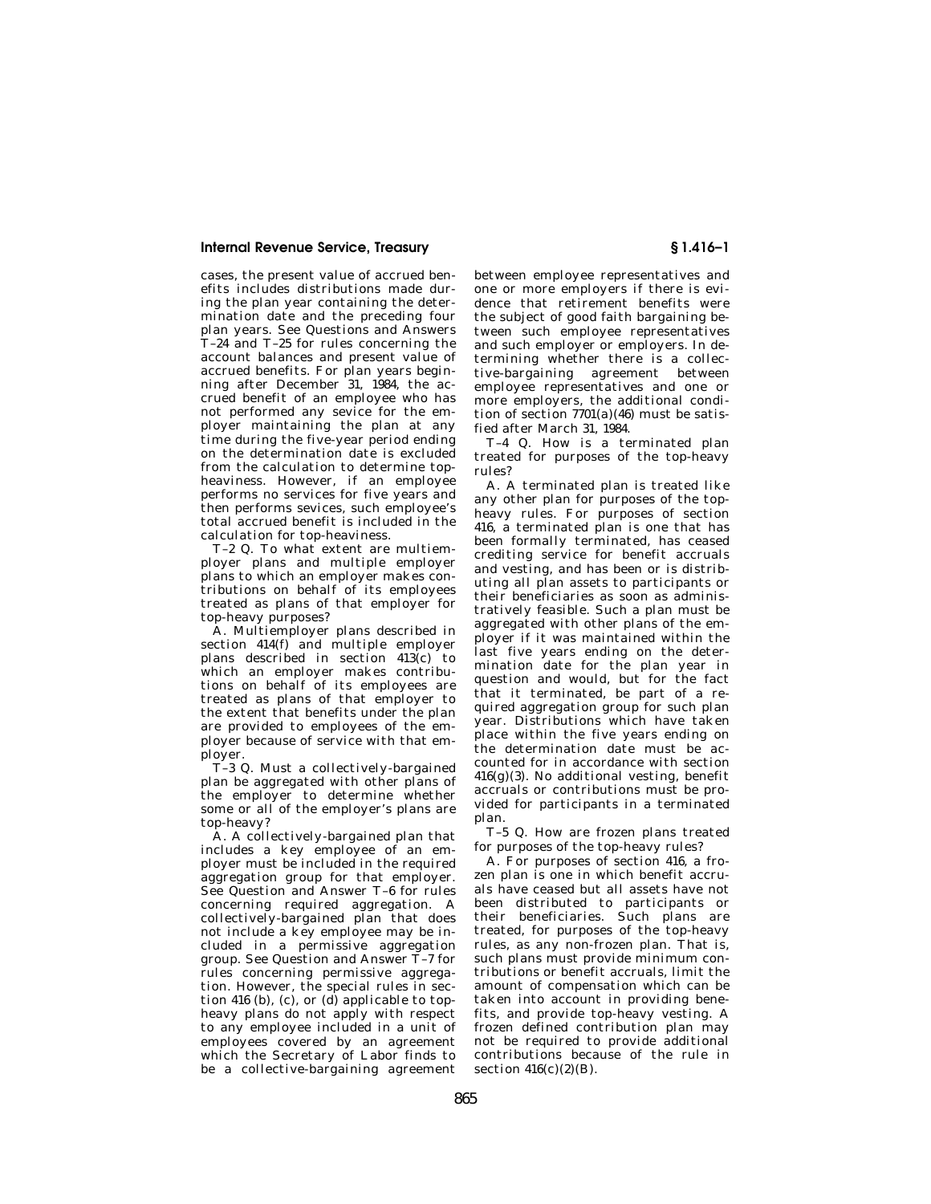cases, the present value of accrued benefits includes distributions made during the plan year containing the determination date and the preceding four plan years. See Questions and Answers T–24 and T–25 for rules concerning the account balances and present value of accrued benefits. For plan years beginning after December 31, 1984, the accrued benefit of an employee who has not performed any sevice for the employer maintaining the plan at any time during the five-year period ending on the determination date is excluded from the calculation to determine topheaviness. However, if an employee performs no services for five years and then performs sevices, such employee's total accrued benefit is included in the calculation for top-heaviness.

T–2 Q. To what extent are multiemployer plans and multiple employer plans to which an employer makes contributions on behalf of its employees treated as plans of that employer for top-heavy purposes?

A. Multiemployer plans described in section  $414(f)$  and multiple employer plans described in section  $413(c)$  to which an employer makes contributions on behalf of its employees are treated as plans of that employer to the extent that benefits under the plan are provided to employees of the employer because of service with that employer.

T–3 Q. Must a collectively-bargained plan be aggregated with other plans of the employer to determine whether some or all of the employer's plans are top-heavy?

A. A collectively-bargained plan that includes a key employee of an employer must be included in the required aggregation group for that employer. See Question and Answer T–6 for rules concerning required aggregation. A collectively-bargained plan that does not include a key employee may be included in a permissive aggregation group. See Question and Answer T–7 for rules concerning permissive aggregation. However, the special rules in section 416 (b), (c), or  $(d)$  applicable to topheavy plans do not apply with respect to any employee included in a unit of employees covered by an agreement which the Secretary of Labor finds to be a collective-bargaining agreement

between employee representatives and one or more employers if there is evidence that retirement benefits were the subject of good faith bargaining between such employee representatives and such employer or employers. In determining whether there is a collective-bargaining agreement between employee representatives and one or more employers, the additional condition of section 7701(a)(46) must be satisfied after March 31, 1984.

T–4 Q. How is a terminated plan treated for purposes of the top-heavy rules?

A. A terminated plan is treated like any other plan for purposes of the topheavy rules. For purposes of section 416, a terminated plan is one that has been formally terminated, has ceased crediting service for benefit accruals and vesting, and has been or is distributing all plan assets to participants or their beneficiaries as soon as administratively feasible. Such a plan must be aggregated with other plans of the employer if it was maintained within the last five years ending on the determination date for the plan year in question and would, but for the fact that it terminated, be part of a required aggregation group for such plan year. Distributions which have taken place within the five years ending on the determination date must be accounted for in accordance with section  $416(g)(3)$ . No additional vesting, benefit accruals or contributions must be provided for participants in a terminated plan.

T–5 Q. How are frozen plans treated for purposes of the top-heavy rules?

A. For purposes of section 416, a frozen plan is one in which benefit accruals have ceased but all assets have not been distributed to participants or their beneficiaries. Such plans are treated, for purposes of the top-heavy rules, as any non-frozen plan. That is, such plans must provide minimum contributions or benefit accruals, limit the amount of compensation which can be taken into account in providing benefits, and provide top-heavy vesting. A frozen defined contribution plan may not be required to provide additional contributions because of the rule in section  $416(c)(2)(B)$ .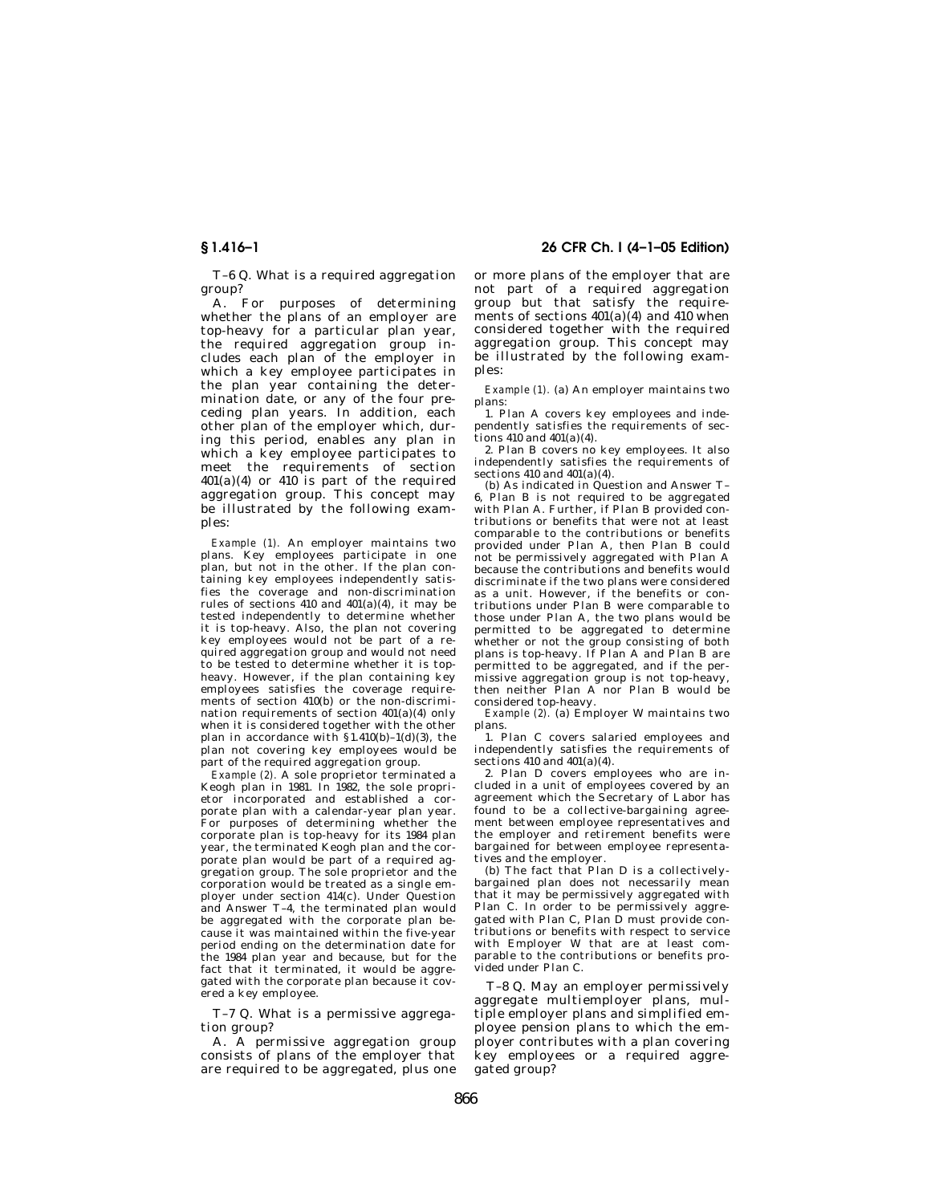T–6 Q. What is a required aggregation group?

A. For purposes of determining whether the plans of an employer are top-heavy for a particular plan year, the required aggregation group includes each plan of the employer in which a key employee participates in the plan year containing the determination date, or any of the four preceding plan years. In addition, each other plan of the employer which, during this period, enables any plan in which a key employee participates to meet the requirements of section  $401(a)(4)$  or  $410$  is part of the required aggregation group. This concept may be illustrated by the following examples:

*Example (1).* An employer maintains two plans. Key employees participate in one plan, but not in the other. If the plan containing key employees independently satisfies the coverage and non-discrimination rules of sections  $410$  and  $401(a)(4)$ , it may be tested independently to determine whether it is top-heavy. Also, the plan not covering key employees would not be part of a required aggregation group and would not need to be tested to determine whether it is topheavy. However, if the plan containing key employees satisfies the coverage requirements of section 410(b) or the non-discrimination requirements of section 401(a)(4) only when it is considered together with the other plan in accordance with  $$1.410(b)-1(d)(3)$ , the plan not covering key employees would be part of the required aggregation group.

*Example (2).* A sole proprietor terminated a Keogh plan in 1981. In 1982, the sole proprietor incorporated and established a corporate plan with a calendar-year plan year. For purposes of determining whether the corporate plan is top-heavy for its 1984 plan year, the terminated Keogh plan and the corporate plan would be part of a required aggregation group. The sole proprietor and the corporation would be treated as a single employer under section 414(c). Under Question and Answer T–4, the terminated plan would be aggregated with the corporate plan because it was maintained within the five-year period ending on the determination date for the 1984 plan year and because, but for the fact that it terminated, it would be aggregated with the corporate plan because it covered a key employee.

T–7 Q. What is a permissive aggregation group?

A. A permissive aggregation group consists of plans of the employer that are required to be aggregated, plus one

**§ 1.416–1 26 CFR Ch. I (4–1–05 Edition)** 

or more plans of the employer that are not part of a required aggregation group but that satisfy the requirements of sections  $401(a)(4)$  and  $410$  when considered together with the required aggregation group. This concept may be illustrated by the following examples:

*Example (1).* (a) An employer maintains two plans:

1. Plan A covers key employees and independently satisfies the requirements of sections  $410$  and  $401(a)(4)$ .

2. Plan B covers no key employees. It also independently satisfies the requirements of sections  $410$  and  $401(a)(4)$ .

(b) As indicated in Question and Answer T– 6, Plan B is not required to be aggregated with Plan A. Further, if Plan B provided contributions or benefits that were not at least comparable to the contributions or benefits provided under Plan A, then Plan B could not be permissively aggregated with Plan A because the contributions and benefits would discriminate if the two plans were considered as a unit. However, if the benefits or contributions under Plan B were comparable to those under Plan A, the two plans would be permitted to be aggregated to determine whether or not the group consisting of both plans is top-heavy. If Plan A and Plan B are permitted to be aggregated, and if the permissive aggregation group is not top-heavy, then neither Plan A nor Plan B would be considered top-heavy.

*Example (2).* (a) Employer W maintains two plans.

1. Plan C covers salaried employees and independently satisfies the requirements of sections  $410$  and  $401(a)(4)$ .

2. Plan D covers employees who are included in a unit of employees covered by an agreement which the Secretary of Labor has found to be a collective-bargaining agreement between employee representatives and the employer and retirement benefits were bargained for between employee representatives and the employer.

(b) The fact that Plan D is a collectivelybargained plan does not necessarily mean that it may be permissively aggregated with Plan C. In order to be permissively aggregated with Plan C, Plan D must provide contributions or benefits with respect to service with Employer W that are at least comparable to the contributions or benefits provided under Plan C.

T–8 Q. May an employer permissively aggregate multiemployer plans, multiple employer plans and simplified employee pension plans to which the employer contributes with a plan covering key employees or a required aggregated group?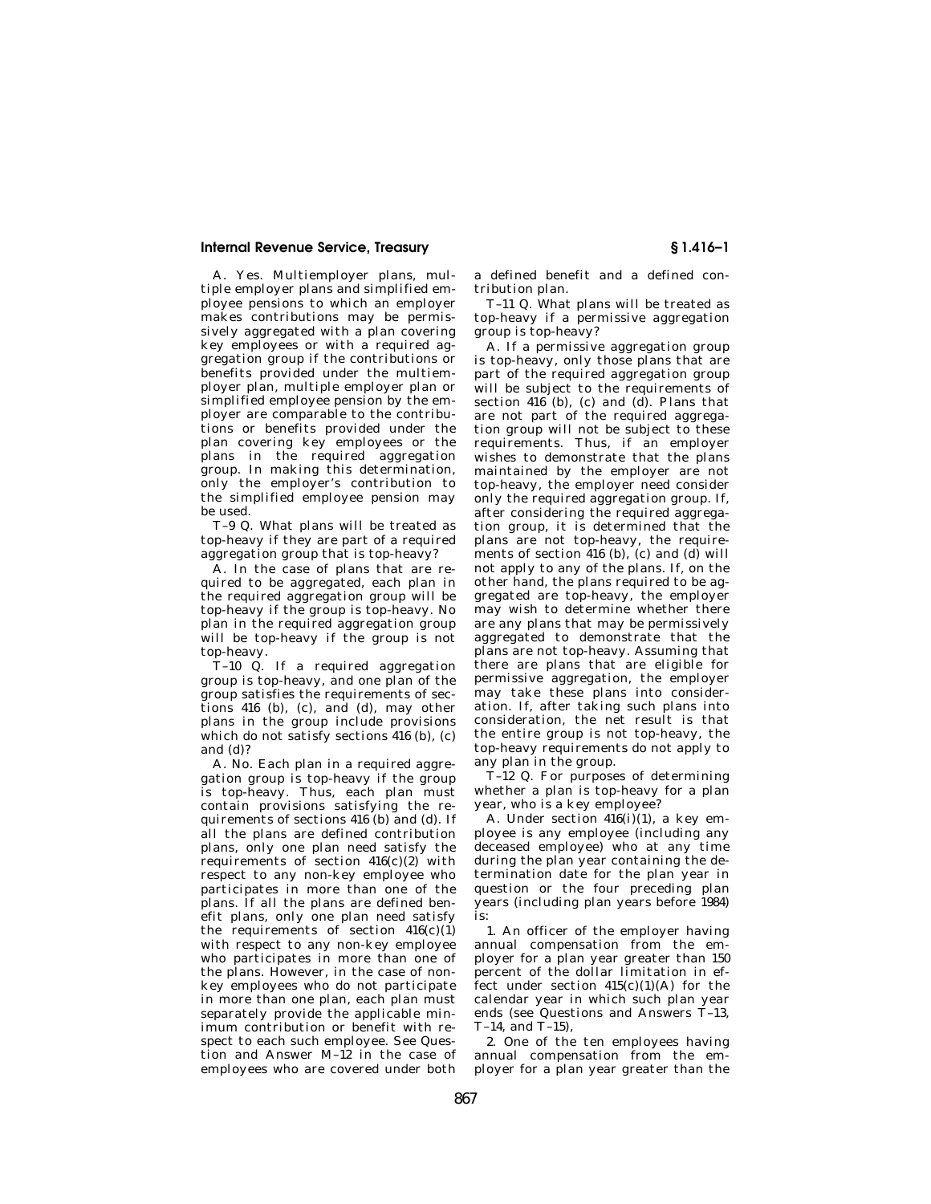A. Yes. Multiemployer plans, multiple employer plans and simplified employee pensions to which an employer makes contributions may be permissively aggregated with a plan covering key employees or with a required aggregation group if the contributions or benefits provided under the multiemployer plan, multiple employer plan or simplified employee pension by the employer are comparable to the contributions or benefits provided under the plan covering key employees or the plans in the required aggregation group. In making this determination, only the employer's contribution to the simplified employee pension may be used.

T–9 Q. What plans will be treated as top-heavy if they are part of a required aggregation group that is top-heavy?

A. In the case of plans that are required to be aggregated, each plan in the required aggregation group will be top-heavy if the group is top-heavy. No plan in the required aggregation group will be top-heavy if the group is not top-heavy.

T–10 Q. If a required aggregation group is top-heavy, and one plan of the group satisfies the requirements of sections 416 (b), (c), and (d), may other plans in the group include provisions which do not satisfy sections 416 (b), (c) and (d)?

A. No. Each plan in a required aggregation group is top-heavy if the group is top-heavy. Thus, each plan must contain provisions satisfying the requirements of sections 416 (b) and (d). If all the plans are defined contribution plans, only one plan need satisfy the requirements of section  $416(c)(2)$  with respect to any non-key employee who participates in more than one of the plans. If all the plans are defined benefit plans, only one plan need satisfy the requirements of section  $416(c)(1)$ with respect to any non-key employee who participates in more than one of the plans. However, in the case of nonkey employees who do not participate in more than one plan, each plan must separately provide the applicable minimum contribution or benefit with respect to each such employee. See Question and Answer M–12 in the case of employees who are covered under both

a defined benefit and a defined contribution plan.

T–11 Q. What plans will be treated as top-heavy if a permissive aggregation group is top-heavy?

A. If a permissive aggregation group is top-heavy, only those plans that are part of the required aggregation group will be subject to the requirements of section  $416$  (b), (c) and (d). Plans that are not part of the required aggregation group will not be subject to these requirements. Thus, if an employer wishes to demonstrate that the plans maintained by the employer are not top-heavy, the employer need consider only the required aggregation group. If, after considering the required aggregation group, it is determined that the plans are not top-heavy, the requirements of section 416 (b), (c) and (d) will not apply to any of the plans. If, on the other hand, the plans required to be aggregated are top-heavy, the employer may wish to determine whether there are any plans that may be permissively aggregated to demonstrate that the plans are not top-heavy. Assuming that there are plans that are eligible for permissive aggregation, the employer may take these plans into consideration. If, after taking such plans into consideration, the net result is that the entire group is not top-heavy, the top-heavy requirements do not apply to any plan in the group.

T–12 Q. For purposes of determining whether a plan is top-heavy for a plan year, who is a key employee?

A. Under section 416(i)(1), a key employee is any employee (including any deceased employee) who at any time during the plan year containing the determination date for the plan year in question or the four preceding plan years (including plan years before 1984) is:

1. An officer of the employer having annual compensation from the employer for a plan year greater than 150 percent of the dollar limitation in effect under section  $415(c)(1)(A)$  for the calendar year in which such plan year ends (see Questions and Answers T–13, T–14, and T–15),

2. One of the ten employees having annual compensation from the employer for a plan year greater than the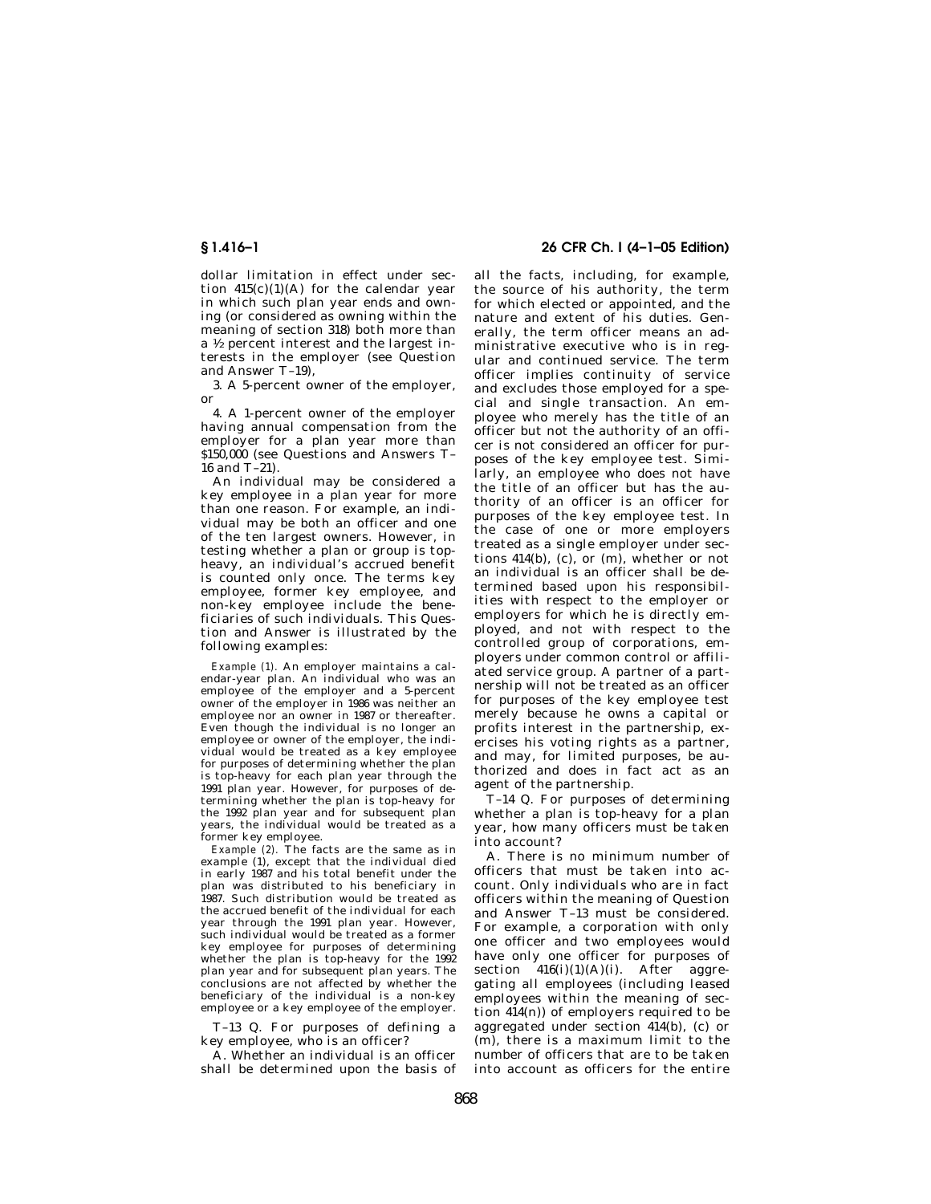dollar limitation in effect under section  $415(c)(1)(A)$  for the calendar year in which such plan year ends and owning (or considered as owning within the meaning of section 318) both more than a 1⁄2 percent interest and the largest interests in the employer (see Question and Answer T–19),

3. A 5-percent owner of the employer, or

4. A 1-percent owner of the employer having annual compensation from the employer for a plan year more than \$150,000 (see Questions and Answers T– 16 and T–21).

An individual may be considered a key employee in a plan year for more than one reason. For example, an individual may be both an officer and one of the ten largest owners. However, in testing whether a plan or group is topheavy, an individual's accrued benefit is counted only once. The terms key employee, former key employee, and non-key employee include the beneficiaries of such individuals. This Question and Answer is illustrated by the following examples:

*Example (1).* An employer maintains a calendar-year plan. An individual who was an employee of the employer and a 5-percent owner of the employer in 1986 was neither an employee nor an owner in 1987 or thereafter. Even though the individual is no longer an employee or owner of the employer, the individual would be treated as a key employee for purposes of determining whether the plan is top-heavy for each plan year through the 1991 plan year. However, for purposes of determining whether the plan is top-heavy for the 1992 plan year and for subsequent plan years, the individual would be treated as a former key employee.

*Example (2).* The facts are the same as in example (1), except that the individual died in early 1987 and his total benefit under the plan was distributed to his beneficiary in 1987. Such distribution would be treated as the accrued benefit of the individual for each year through the 1991 plan year. However, such individual would be treated as a former key employee for purposes of determining whether the plan is top-heavy for the 1992 plan year and for subsequent plan years. The conclusions are not affected by whether the beneficiary of the individual is a non-key employee or a key employee of the employer.

T–13 Q. For purposes of defining a key employee, who is an officer?

A. Whether an individual is an officer shall be determined upon the basis of

## **§ 1.416–1 26 CFR Ch. I (4–1–05 Edition)**

all the facts, including, for example, the source of his authority, the term for which elected or appointed, and the nature and extent of his duties. Generally, the term officer means an administrative executive who is in regular and continued service. The term officer implies continuity of service and excludes those employed for a special and single transaction. An employee who merely has the title of an officer but not the authority of an officer is not considered an officer for purposes of the key employee test. Similarly, an employee who does not have the title of an officer but has the authority of an officer is an officer for purposes of the key employee test. In the case of one or more employers treated as a single employer under sections 414(b), (c), or (m), whether or not an individual is an officer shall be determined based upon his responsibilities with respect to the employer or employers for which he is directly employed, and not with respect to the controlled group of corporations, employers under common control or affiliated service group. A partner of a partnership will not be treated as an officer for purposes of the key employee test merely because he owns a capital or profits interest in the partnership, exercises his voting rights as a partner, and may, for limited purposes, be authorized and does in fact act as an agent of the partnership.

T–14 Q. For purposes of determining whether a plan is top-heavy for a plan year, how many officers must be taken into account?

A. There is no minimum number of officers that must be taken into account. Only individuals who are in fact officers within the meaning of Question and Answer T–13 must be considered. For example, a corporation with only one officer and two employees would have only one officer for purposes of section  $416(i)(1)(A)(i)$ . After aggregating all employees (including leased employees within the meaning of section 414(n)) of employers required to be aggregated under section 414(b), (c) or (m), there is a maximum limit to the number of officers that are to be taken into account as officers for the entire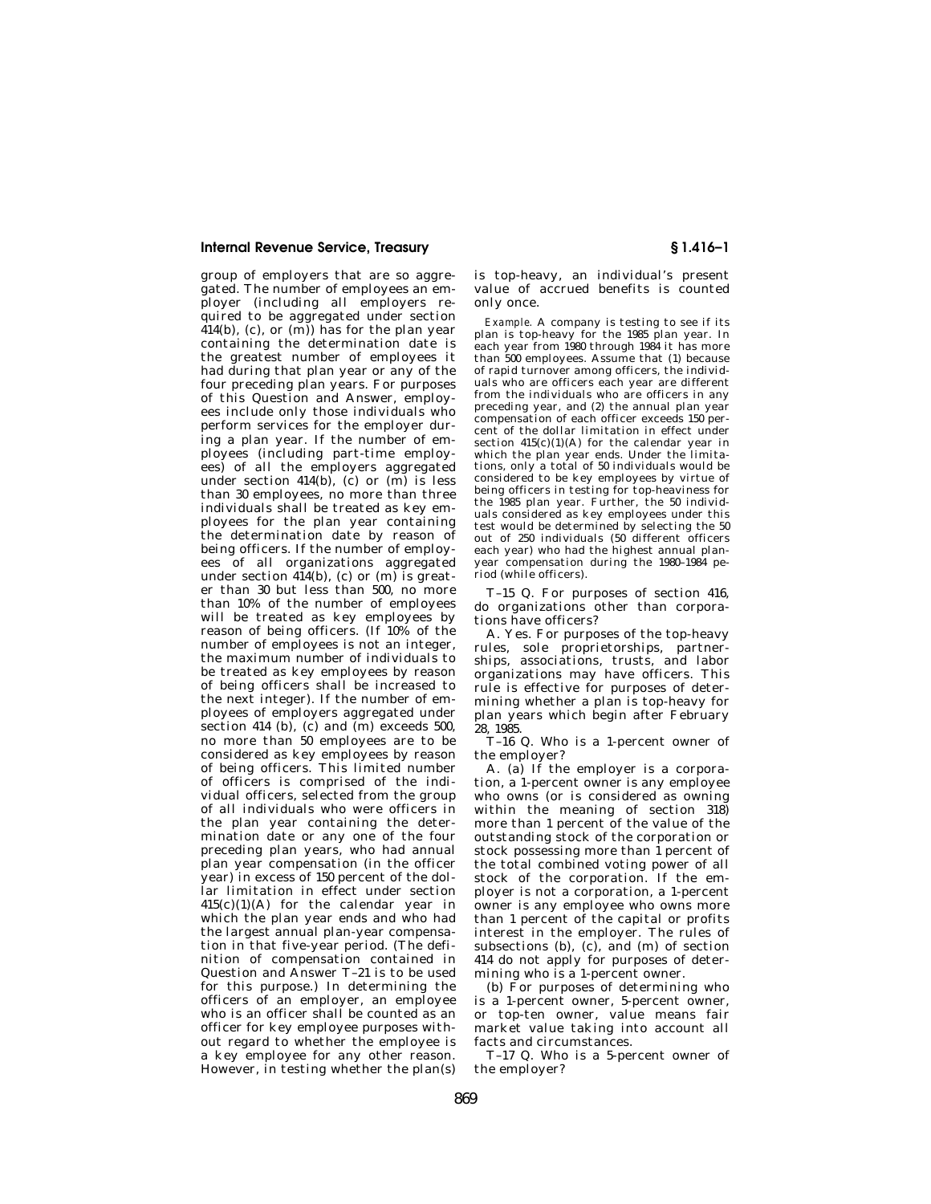group of employers that are so aggregated. The number of employees an employer (including all employers required to be aggregated under section  $(414(b), (c), or (m))$  has for the plan year containing the determination date is the greatest number of employees it had during that plan year or any of the four preceding plan years. For purposes of this Question and Answer, employees include only those individuals who perform services for the employer during a plan year. If the number of employees (including part-time employees) of all the employers aggregated under section  $414(b)$ , (c) or (m) is less than 30 employees, no more than three individuals shall be treated as key employees for the plan year containing the determination date by reason of being officers. If the number of employees of all organizations aggregated under section  $414(b)$ , (c) or (m) is greater than 30 but less than 500, no more than 10% of the number of employees will be treated as key employees by reason of being officers. (If 10% of the number of employees is not an integer, the maximum number of individuals to be treated as key employees by reason of being officers shall be increased to the next integer). If the number of employees of employers aggregated under section 414 (b),  $(c)$  and  $(m)$  exceeds 500, no more than 50 employees are to be considered as key employees by reason of being officers. This limited number of officers is comprised of the individual officers, selected from the group of all individuals who were officers in the plan year containing the determination date or any one of the four preceding plan years, who had annual plan year compensation (in the officer year) in excess of 150 percent of the dollar limitation in effect under section 415(c)(1)(A) for the calendar year in which the plan year ends and who had the largest annual plan-year compensation in that five-year period. (The definition of compensation contained in Question and Answer T–21 is to be used for this purpose.) In determining the officers of an employer, an employee who is an officer shall be counted as an officer for key employee purposes without regard to whether the employee is a key employee for any other reason. However, in testing whether the plan(s)

is top-heavy, an individual's present value of accrued benefits is counted only once.

*Example.* A company is testing to see if its plan is top-heavy for the 1985 plan year. In each year from 1980 through 1984 it has more than 500 employees. Assume that (1) because of rapid turnover among officers, the individuals who are officers each year are different from the individuals who are officers in any preceding year, and (2) the annual plan year compensation of each officer exceeds 150 percent of the dollar limitation in effect under section 415(c)(1)(A) for the calendar year in which the plan year ends. Under the limitations, only a total of 50 individuals would be considered to be key employees by virtue of being officers in testing for top-heaviness for the 1985 plan year. Further, the 50 individuals considered as key employees under this test would be determined by selecting the 50 out of 250 individuals (50 different officers each year) who had the highest annual planyear compensation during the 1980–1984 period (while officers).

T–15 Q. For purposes of section 416, do organizations other than corporations have officers?

A. Yes. For purposes of the top-heavy rules, sole proprietorships, partnerships, associations, trusts, and labor organizations may have officers. This rule is effective for purposes of determining whether a plan is top-heavy for plan years which begin after February 28, 1985.

T–16 Q. Who is a 1-percent owner of the employer?

A. (a) If the employer is a corporation, a 1-percent owner is any employee who owns (or is considered as owning within the meaning of section 318) more than 1 percent of the value of the outstanding stock of the corporation or stock possessing more than 1 percent of the total combined voting power of all stock of the corporation. If the employer is not a corporation, a 1-percent owner is any employee who owns more than 1 percent of the capital or profits interest in the employer. The rules of subsections  $(b)$ ,  $(c)$ , and  $(m)$  of section 414 do not apply for purposes of determining who is a 1-percent owner.

(b) For purposes of determining who is a 1-percent owner, 5-percent owner, or top-ten owner, value means fair market value taking into account all facts and circumstances.

T–17 Q. Who is a 5-percent owner of the employer?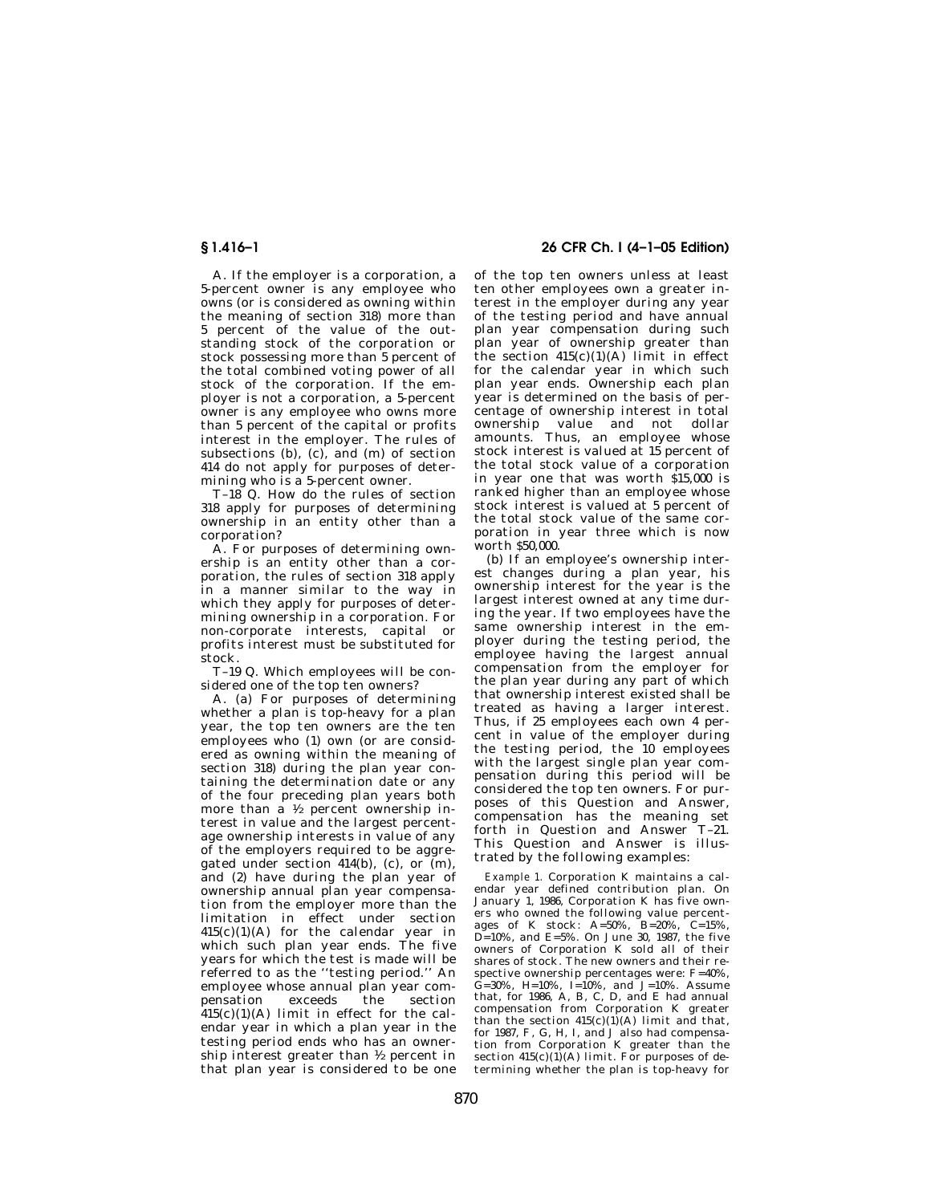A. If the employer is a corporation, a 5-percent owner is any employee who owns (or is considered as owning within the meaning of section 318) more than 5 percent of the value of the outstanding stock of the corporation or stock possessing more than 5 percent of the total combined voting power of all stock of the corporation. If the employer is not a corporation, a 5-percent owner is any employee who owns more than 5 percent of the capital or profits interest in the employer. The rules of subsections  $(b)$ ,  $(c)$ , and  $(m)$  of section 414 do not apply for purposes of determining who is a 5-percent owner.

T–18 Q. How do the rules of section 318 apply for purposes of determining ownership in an entity other than a corporation?

A. For purposes of determining ownership is an entity other than a corporation, the rules of section 318 apply in a manner similar to the way in which they apply for purposes of determining ownership in a corporation. For non-corporate interests, capital or profits interest must be substituted for stock.

T–19 Q. Which employees will be considered one of the top ten owners?

A. (a) For purposes of determining whether a plan is top-heavy for a plan year, the top ten owners are the ten employees who (1) own (or are considered as owning within the meaning of section 318) during the plan year containing the determination date or any of the four preceding plan years both more than a 1⁄2 percent ownership interest in value and the largest percentage ownership interests in value of any of the employers required to be aggregated under section  $414(b)$ , (c), or  $(m)$ , and (2) have during the plan year of ownership annual plan year compensation from the employer more than the limitation in effect under section 415(c)(1)(A) for the calendar year in which such plan year ends. The five years for which the test is made will be referred to as the ''testing period.'' An employee whose annual plan year com-<br>pensation exceeds the section pensation  $415(c)(1)(A)$  limit in effect for the calendar year in which a plan year in the testing period ends who has an ownership interest greater than  $\frac{1}{2}$  percent in that plan year is considered to be one

## **§ 1.416–1 26 CFR Ch. I (4–1–05 Edition)**

of the top ten owners unless at least ten other employees own a greater interest in the employer during any year of the testing period and have annual plan year compensation during such plan year of ownership greater than the section  $415(c)(1)(A)$  limit in effect for the calendar year in which such plan year ends. Ownership each plan year is determined on the basis of percentage of ownership interest in total ownership value and not dollar amounts. Thus, an employee whose stock interest is valued at 15 percent of the total stock value of a corporation in year one that was worth \$15,000 is ranked higher than an employee whose stock interest is valued at 5 percent of the total stock value of the same corporation in year three which is now worth \$50,000.

(b) If an employee's ownership interest changes during a plan year, his ownership interest for the year is the largest interest owned at any time during the year. If two employees have the same ownership interest in the employer during the testing period, the employee having the largest annual compensation from the employer for the plan year during any part of which that ownership interest existed shall be treated as having a larger interest. Thus, if 25 employees each own 4 percent in value of the employer during the testing period, the 10 employees with the largest single plan year compensation during this period will be considered the top ten owners. For purposes of this Question and Answer, compensation has the meaning set forth in Question and Answer T–21. This Question and Answer is illustrated by the following examples:

*Example 1.* Corporation K maintains a calendar year defined contribution plan. On January 1, 1986, Corporation K has five owners who owned the following value percentages of K stock: A=50%, B=20%, C=15%, D=10%, and E=5%. On June 30, 1987, the five owners of Corporation K sold all of their shares of stock. The new owners and their respective ownership percentages were: F=40%, G=30%, H=10%, I=10%, and J=10%. Assume that, for 1986, A, B, C, D, and E had annual compensation from Corporation K greater than the section  $415(c)(1)(A)$  limit and that, for 1987, F, G, H, I, and J also had compensation from Corporation K greater than the section  $415(c)(1)(A)$  limit. For purposes of determining whether the plan is top-heavy for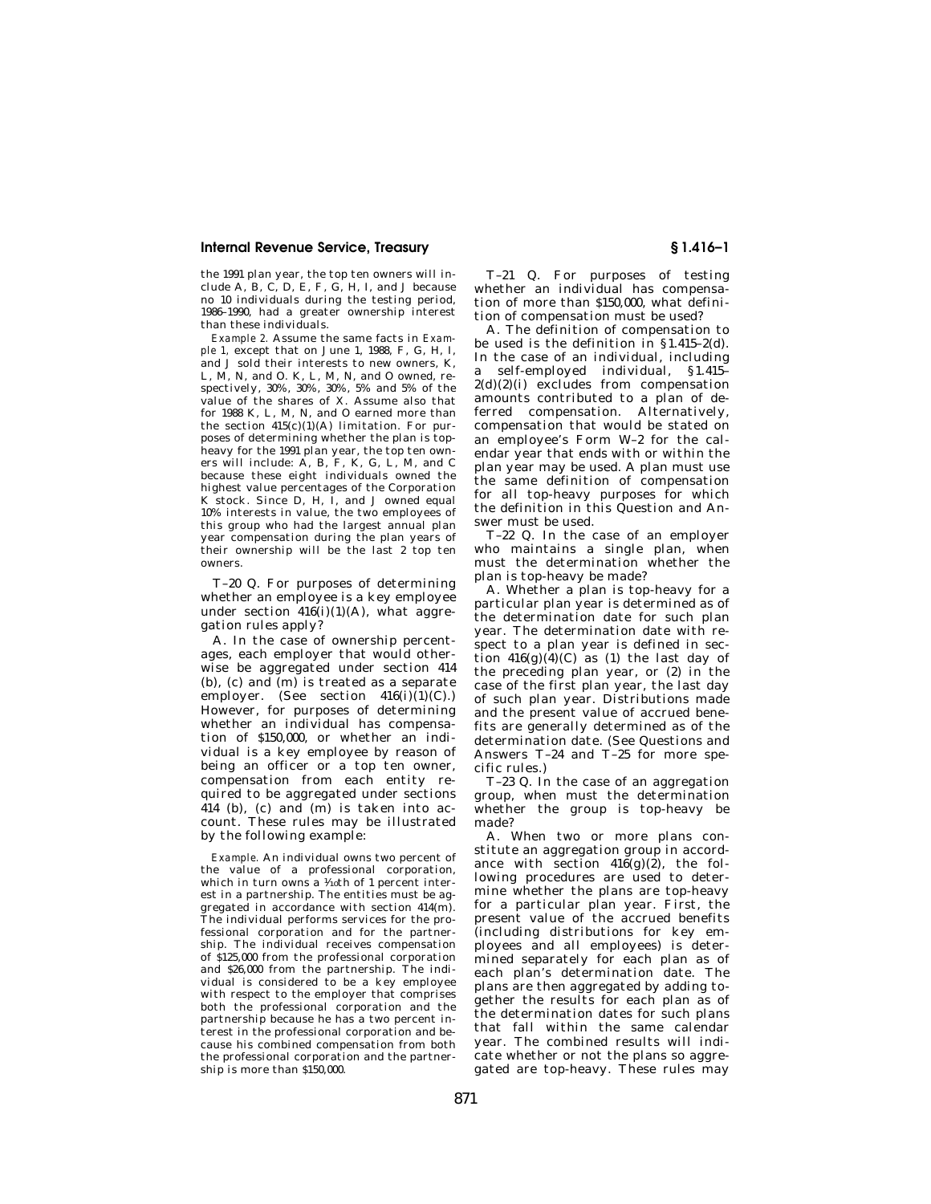the 1991 plan year, the top ten owners will include A, B, C, D, E, F, G, H, I, and J because no 10 individuals during the testing period, 1986–1990, had a greater ownership interest than these individuals.

*Example 2.* Assume the same facts in *Example 1,* except that on June 1, 1988, F, G, H, I, and J sold their interests to new owners, K, L, M, N, and O. K, L, M, N, and O owned, respectively, 30%, 30%, 30%, 5% and 5% of the value of the shares of X. Assume also that for 1988 K, L, M, N, and O earned more than the section  $415(c)(1)(A)$  limitation. For purposes of determining whether the plan is topheavy for the 1991 plan year, the top ten owners will include: A, B, F, K, G, L, M, and C because these eight individuals owned the highest value percentages of the Corporation K stock. Since D, H, I, and J owned equal 10% interests in value, the two employees of this group who had the largest annual plan year compensation during the plan years of their ownership will be the last 2 top ten owners.

T–20 Q. For purposes of determining whether an employee is a key employee under section  $416(i)(1)(A)$ , what aggregation rules apply?

A. In the case of ownership percentages, each employer that would otherwise be aggregated under section 414 (b), (c) and (m) is treated as a separate employer. (See section  $416(i)(1)(C)$ .) However, for purposes of determining whether an individual has compensation of \$150,000, or whether an individual is a key employee by reason of being an officer or a top ten owner, compensation from each entity required to be aggregated under sections 414 (b), (c) and (m) is taken into account. These rules may be illustrated by the following example:

*Example.* An individual owns two percent of the value of a professional corporation, which in turn owns a  $\frac{1}{10}$ th of 1 percent interest in a partnership. The entities must be aggregated in accordance with section 414(m). The individual performs services for the professional corporation and for the partnership. The individual receives compensation of \$125,000 from the professional corporation and \$26,000 from the partnership. The individual is considered to be a key employee with respect to the employer that comprises both the professional corporation and the partnership because he has a two percent interest in the professional corporation and because his combined compensation from both the professional corporation and the partnership is more than \$150,000.

T–21 Q. For purposes of testing whether an individual has compensation of more than \$150,000, what definition of compensation must be used?

A. The definition of compensation to be used is the definition in §1.415–2(d). In the case of an individual, including a self-employed individual, §1.415–  $2(d)(2)(i)$  excludes from compensation amounts contributed to a plan of deferred compensation. Alternatively, compensation that would be stated on an employee's Form W–2 for the calendar year that ends with or within the plan year may be used. A plan must use the same definition of compensation for all top-heavy purposes for which the definition in this Question and Answer must be used.

T–22 Q. In the case of an employer who maintains a single plan, when must the determination whether the plan is top-heavy be made?

A. Whether a plan is top-heavy for a particular plan year is determined as of the determination date for such plan year. The determination date with respect to a plan year is defined in section  $416(g)(4)(C)$  as (1) the last day of the preceding plan year, or (2) in the case of the first plan year, the last day of such plan year. Distributions made and the present value of accrued benefits are generally determined as of the determination date. (See Questions and Answers T–24 and T–25 for more specific rules.)

T–23 Q. In the case of an aggregation group, when must the determination whether the group is top-heavy be made?

A. When two or more plans constitute an aggregation group in accordance with section  $416(g)(2)$ , the following procedures are used to determine whether the plans are top-heavy for a particular plan year. First, the present value of the accrued benefits (including distributions for key employees and all employees) is determined separately for each plan as of each plan's determination date. The plans are then aggregated by adding together the results for each plan as of the determination dates for such plans that fall within the same calendar year. The combined results will indicate whether or not the plans so aggregated are top-heavy. These rules may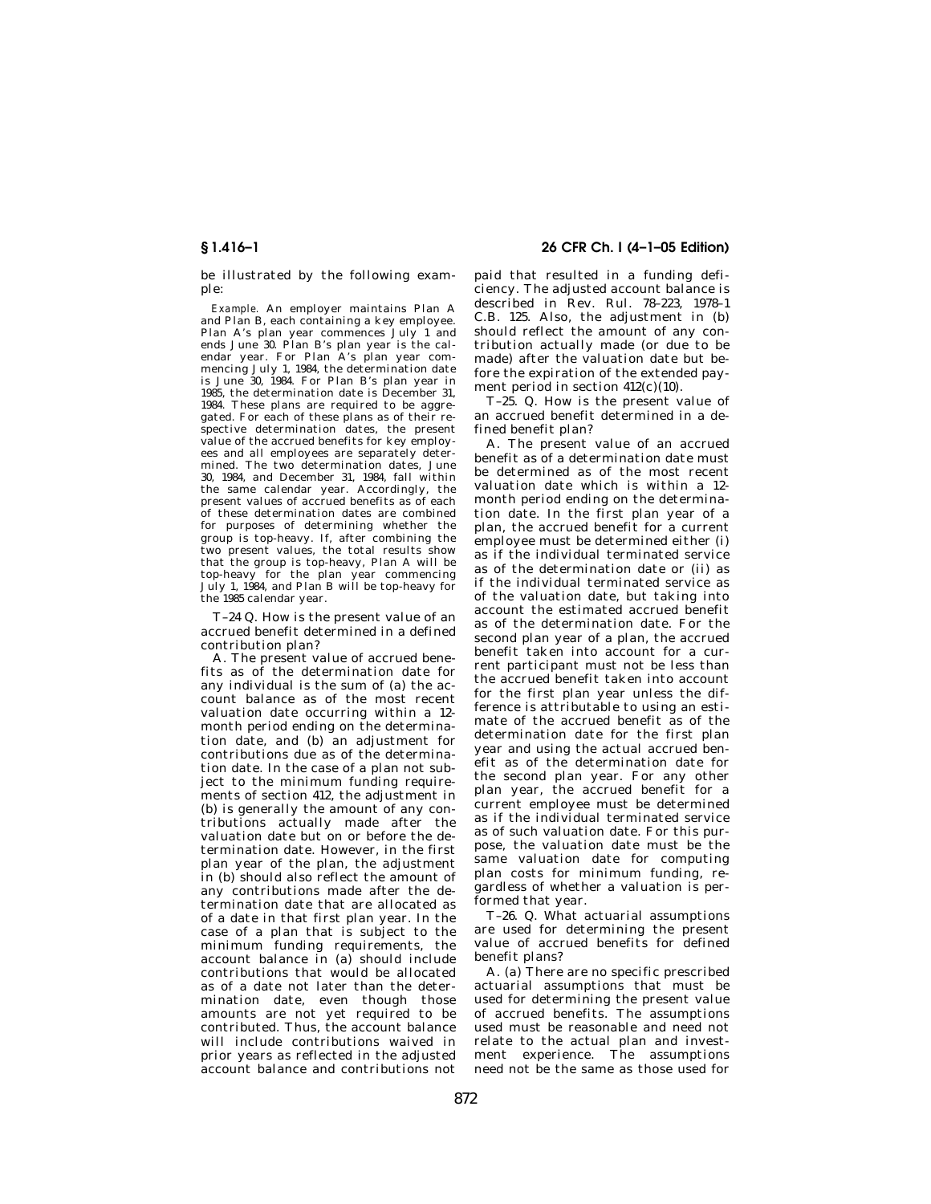be illustrated by the following example:

*Example.* An employer maintains Plan A and Plan B, each containing a key employee. Plan A's plan year commences July 1 and ends June 30. Plan B's plan year is the calendar year. For Plan A's plan year commencing July 1, 1984, the determination date is June 30, 1984. For Plan B's plan year in 1985, the determination date is December 31, 1984. These plans are required to be aggregated. For each of these plans as of their respective determination dates, the present value of the accrued benefits for key employees and all employees are separately determined. The two determination dates, June 30, 1984, and December 31, 1984, fall within the same calendar year. Accordingly, the present values of accrued benefits as of each of these determination dates are combined for purposes of determining whether the group is top-heavy. If, after combining the two present values, the total results show that the group is top-heavy, Plan A will be top-heavy for the plan year commencing July 1, 1984, and Plan B will be top-heavy for the 1985 calendar year.

T–24 Q. How is the present value of an accrued benefit determined in a defined contribution plan?

A. The present value of accrued benefits as of the determination date for any individual is the sum of (a) the account balance as of the most recent valuation date occurring within a 12 month period ending on the determination date, and (b) an adjustment for contributions due as of the determination date. In the case of a plan not subject to the minimum funding requirements of section 412, the adjustment in (b) is generally the amount of any contributions actually made after the valuation date but on or before the determination date. However, in the first plan year of the plan, the adjustment in (b) should also reflect the amount of any contributions made after the determination date that are allocated as of a date in that first plan year. In the case of a plan that is subject to the minimum funding requirements, the account balance in (a) should include contributions that would be allocated as of a date not later than the determination date, even though those amounts are not yet required to be contributed. Thus, the account balance will include contributions waived in prior years as reflected in the adjusted account balance and contributions not

# **§ 1.416–1 26 CFR Ch. I (4–1–05 Edition)**

paid that resulted in a funding deficiency. The adjusted account balance is described in Rev. Rul. 78–223, 1978–1 C.B. 125. Also, the adjustment in (b) should reflect the amount of any contribution actually made (or due to be made) after the valuation date but before the expiration of the extended payment period in section 412(c)(10).

T–25. Q. How is the present value of an accrued benefit determined in a defined benefit plan?

A. The present value of an accrued benefit as of a determination date must be determined as of the most recent valuation date which is within a 12 month period ending on the determination date. In the first plan year of a plan, the accrued benefit for a current employee must be determined either (i) as if the individual terminated service as of the determination date or (ii) as if the individual terminated service as of the valuation date, but taking into account the estimated accrued benefit as of the determination date. For the second plan year of a plan, the accrued benefit taken into account for a current participant must not be less than the accrued benefit taken into account for the first plan year unless the difference is attributable to using an estimate of the accrued benefit as of the determination date for the first plan year and using the actual accrued benefit as of the determination date for the second plan year. For any other plan year, the accrued benefit for a current employee must be determined as if the individual terminated service as of such valuation date. For this purpose, the valuation date must be the same valuation date for computing plan costs for minimum funding, regardless of whether a valuation is performed that year.

T–26. Q. What actuarial assumptions are used for determining the present value of accrued benefits for defined benefit plans?

A. (a) There are no specific prescribed actuarial assumptions that must be used for determining the present value of accrued benefits. The assumptions used must be reasonable and need not relate to the actual plan and investment experience. The assumptions need not be the same as those used for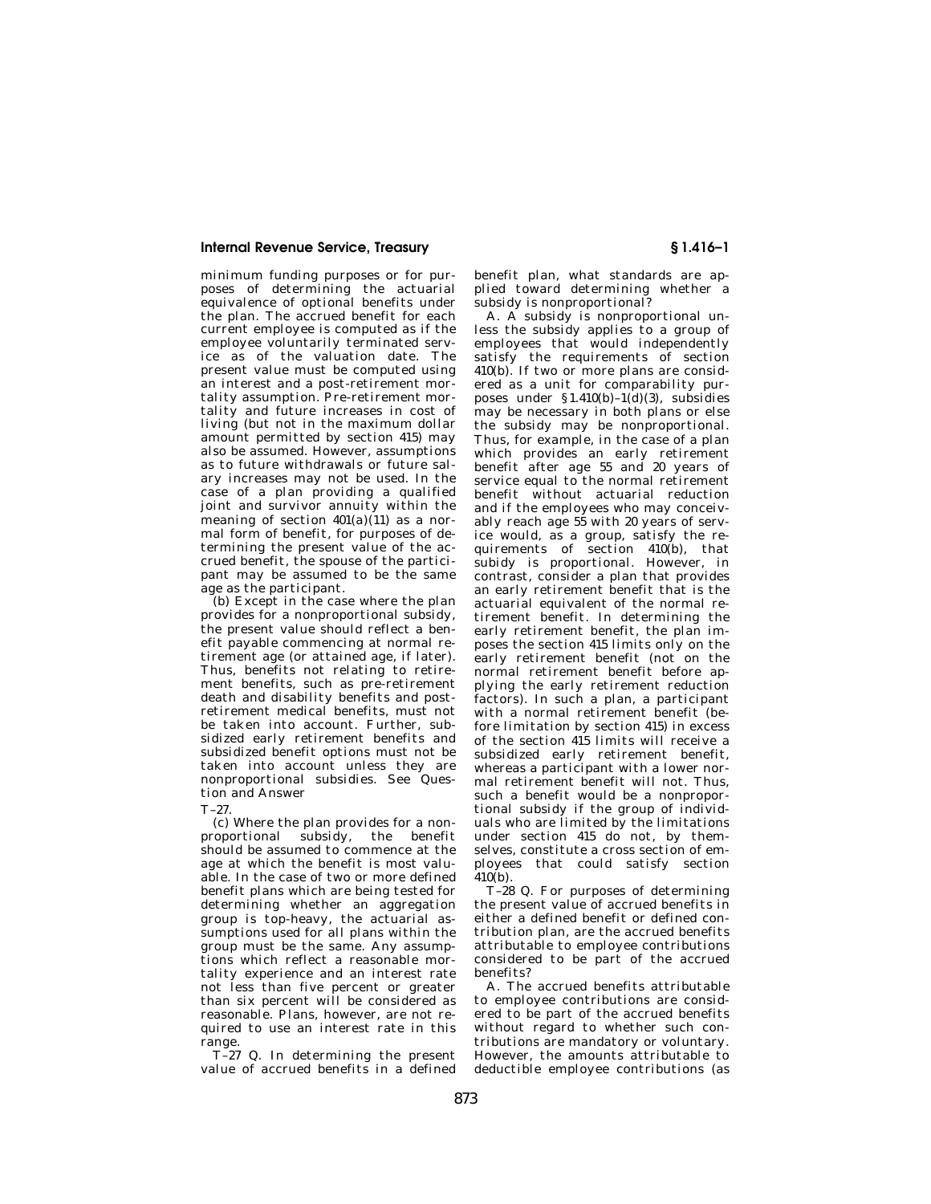minimum funding purposes or for purposes of determining the actuarial equivalence of optional benefits under the plan. The accrued benefit for each current employee is computed as if the employee voluntarily terminated service as of the valuation date. The present value must be computed using an interest and a post-retirement mortality assumption. Pre-retirement mortality and future increases in cost of living (but not in the maximum dollar amount permitted by section 415) may also be assumed. However, assumptions as to future withdrawals or future salary increases may not be used. In the case of a plan providing a qualified joint and survivor annuity within the meaning of section  $401(a)(11)$  as a normal form of benefit, for purposes of determining the present value of the accrued benefit, the spouse of the participant may be assumed to be the same age as the participant.

(b) Except in the case where the plan provides for a nonproportional subsidy, the present value should reflect a benefit payable commencing at normal retirement age (or attained age, if later). Thus, benefits not relating to retirement benefits, such as pre-retirement death and disability benefits and postretirement medical benefits, must not be taken into account. Further, subsidized early retirement benefits and subsidized benefit options must not be taken into account unless they are nonproportional subsidies. See Question and Answer

T–27.

(c) Where the plan provides for a nonproportional subsidy, the benefit should be assumed to commence at the age at which the benefit is most valuable. In the case of two or more defined benefit plans which are being tested for determining whether an aggregation group is top-heavy, the actuarial assumptions used for all plans within the group must be the same. Any assumptions which reflect a reasonable mortality experience and an interest rate not less than five percent or greater than six percent will be considered as reasonable. Plans, however, are not required to use an interest rate in this range.

T–27 Q. In determining the present value of accrued benefits in a defined benefit plan, what standards are applied toward determining whether a subsidy is nonproportional?

A. A subsidy is nonproportional unless the subsidy applies to a group of employees that would independently satisfy the requirements of section 410(b). If two or more plans are considered as a unit for comparability purposes under  $$1.410(b)-1(d)(3)$ , subsidies may be necessary in both plans or else the subsidy may be nonproportional. Thus, for example, in the case of a plan which provides an early retirement benefit after age 55 and 20 years of service equal to the normal retirement benefit without actuarial reduction and if the employees who may conceivably reach age 55 with 20 years of service would, as a group, satisfy the requirements of section 410(b), that subidy is proportional. However, in contrast, consider a plan that provides an early retirement benefit that is the actuarial equivalent of the normal retirement benefit. In determining the early retirement benefit, the plan imposes the section 415 limits only on the early retirement benefit (not on the normal retirement benefit before applying the early retirement reduction factors). In such a plan, a participant with a normal retirement benefit (before limitation by section 415) in excess of the section 415 limits will receive a subsidized early retirement benefit, whereas a participant with a lower normal retirement benefit will not. Thus, such a benefit would be a nonproportional subsidy if the group of individuals who are limited by the limitations under section 415 do not, by themselves, constitute a cross section of employees that could satisfy section  $410(h)$ .

T–28 Q. For purposes of determining the present value of accrued benefits in either a defined benefit or defined contribution plan, are the accrued benefits attributable to employee contributions considered to be part of the accrued benefits?

A. The accrued benefits attributable to employee contributions are considered to be part of the accrued benefits without regard to whether such contributions are mandatory or voluntary. However, the amounts attributable to deductible employee contributions (as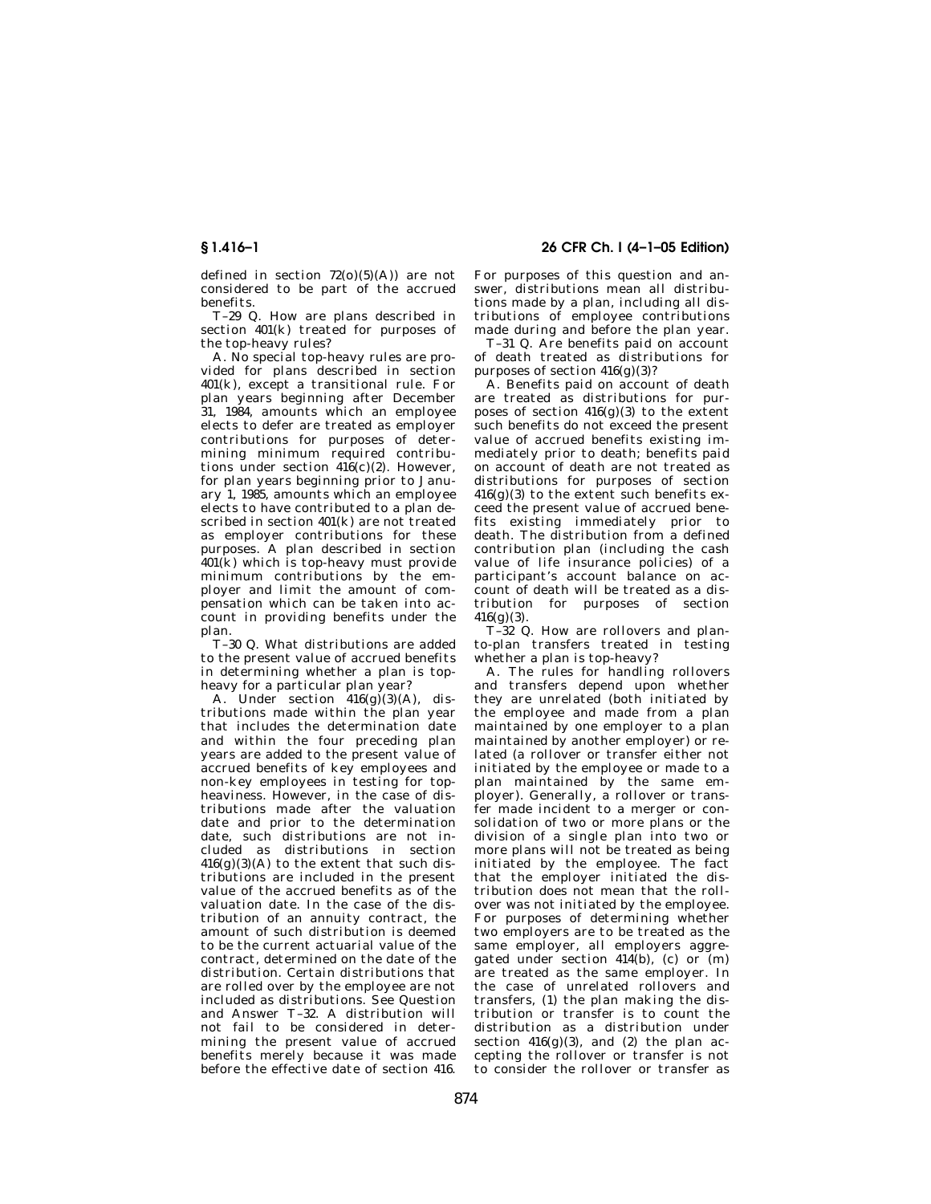defined in section  $72(0)(5)(A)$  are not considered to be part of the accrued benefits.

T–29 Q. How are plans described in section 401(k) treated for purposes of the top-heavy rules?

A. No special top-heavy rules are provided for plans described in section 401(k), except a transitional rule. For plan years beginning after December 31, 1984, amounts which an employee elects to defer are treated as employer contributions for purposes of determining minimum required contributions under section  $416(c)(2)$ . However, for plan years beginning prior to January 1, 1985, amounts which an employee elects to have contributed to a plan described in section 401(k) are not treated as employer contributions for these purposes. A plan described in section 401(k) which is top-heavy must provide minimum contributions by the employer and limit the amount of compensation which can be taken into account in providing benefits under the plan.

T–30 Q. What distributions are added to the present value of accrued benefits in determining whether a plan is topheavy for a particular plan year?

A. Under section  $416(g)(3)(A)$ , distributions made within the plan year that includes the determination date and within the four preceding plan years are added to the present value of accrued benefits of key employees and non-key employees in testing for topheaviness. However, in the case of distributions made after the valuation date and prior to the determination date, such distributions are not included as distributions in section  $416(g)(3)(A)$  to the extent that such distributions are included in the present value of the accrued benefits as of the valuation date. In the case of the distribution of an annuity contract, the amount of such distribution is deemed to be the current actuarial value of the contract, determined on the date of the distribution. Certain distributions that are rolled over by the employee are not included as distributions. See Question and Answer T–32. A distribution will not fail to be considered in determining the present value of accrued benefits merely because it was made before the effective date of section 416.

**§ 1.416–1 26 CFR Ch. I (4–1–05 Edition)** 

For purposes of this question and answer, distributions mean all distributions made by a plan, including all distributions of employee contributions made during and before the plan year.

T–31 Q. Are benefits paid on account of death treated as distributions for purposes of section  $416(g)(3)$ ?

A. Benefits paid on account of death are treated as distributions for purposes of section  $416(g)(3)$  to the extent such benefits do not exceed the present value of accrued benefits existing immediately prior to death; benefits paid on account of death are not treated as distributions for purposes of section  $416(g)(3)$  to the extent such benefits exceed the present value of accrued benefits existing immediately prior to death. The distribution from a defined contribution plan (including the cash value of life insurance policies) of a participant's account balance on account of death will be treated as a distribution for purposes of section  $416(g)(3)$ .

T–32 Q. How are rollovers and planto-plan transfers treated in testing whether a plan is top-heavy?

A. The rules for handling rollovers and transfers depend upon whether they are unrelated (both initiated by the employee and made from a plan maintained by one employer to a plan maintained by another employer) or related (a rollover or transfer either not initiated by the employee or made to a plan maintained by the same employer). Generally, a rollover or transfer made incident to a merger or consolidation of two or more plans or the division of a single plan into two or more plans will not be treated as being initiated by the employee. The fact that the employer initiated the distribution does not mean that the rollover was not initiated by the employee. For purposes of determining whether two employers are to be treated as the same employer, all employers aggregated under section  $414(b)$ , (c) or  $(m)$ are treated as the same employer. In the case of unrelated rollovers and transfers, (1) the plan making the distribution or transfer is to count the distribution as a distribution under section  $416(g)(3)$ , and  $(2)$  the plan accepting the rollover or transfer is not to consider the rollover or transfer as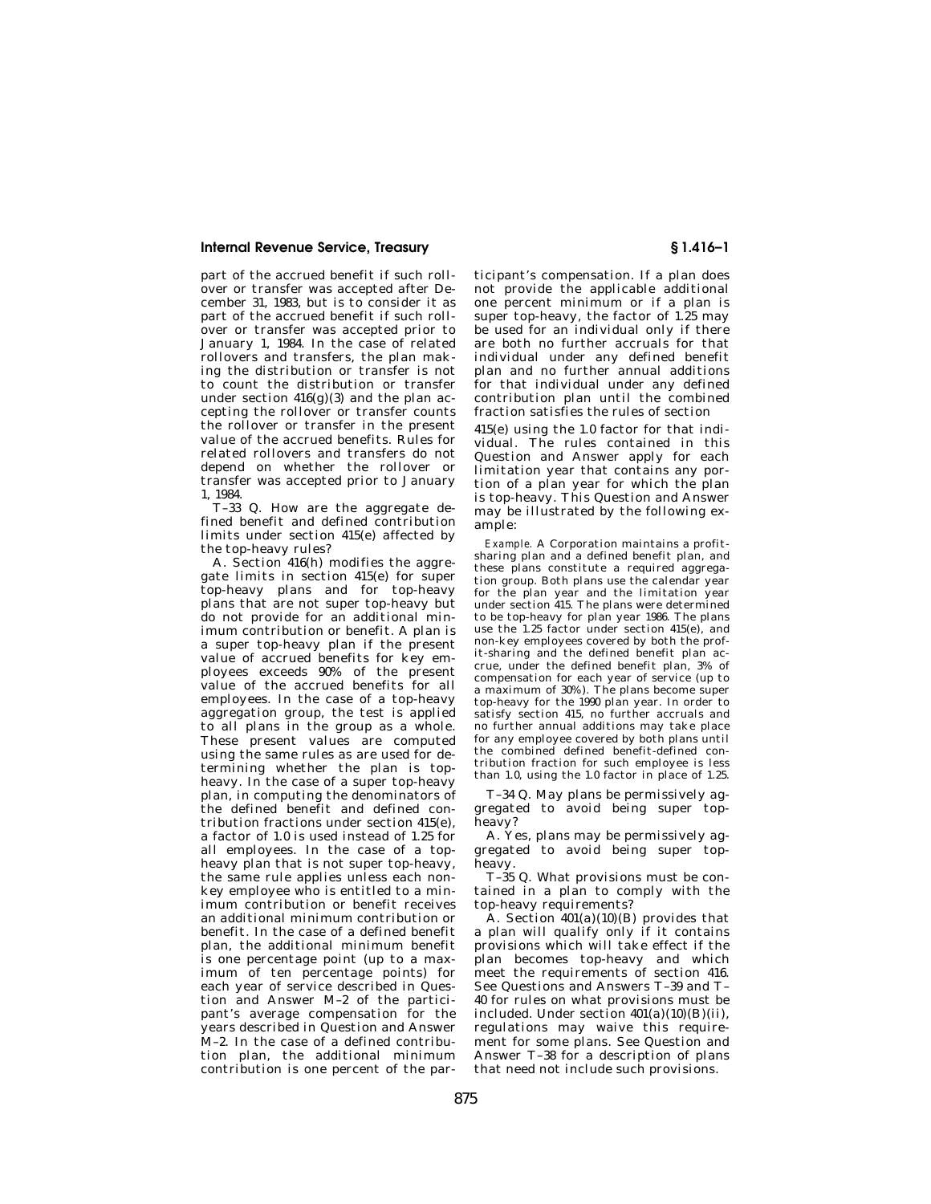part of the accrued benefit if such rollover or transfer was accepted after December 31, 1983, but is to consider it as part of the accrued benefit if such rollover or transfer was accepted prior to January 1, 1984. In the case of related rollovers and transfers, the plan making the distribution or transfer is not to count the distribution or transfer under section  $416(g)(3)$  and the plan accepting the rollover or transfer counts the rollover or transfer in the present value of the accrued benefits. Rules for related rollovers and transfers do not depend on whether the rollover or transfer was accepted prior to January 1, 1984.

T–33 Q. How are the aggregate defined benefit and defined contribution limits under section 415(e) affected by the top-heavy rules?

A. Section 416(h) modifies the aggregate limits in section 415(e) for super top-heavy plans and for top-heavy plans that are not super top-heavy but .<br>do not provide for an additional minimum contribution or benefit. A plan is a super top-heavy plan if the present value of accrued benefits for key employees exceeds 90% of the present value of the accrued benefits for all employees. In the case of a top-heavy aggregation group, the test is applied to all plans in the group as a whole. These present values are computed using the same rules as are used for determining whether the plan is topheavy. In the case of a super top-heavy plan, in computing the denominators of the defined benefit and defined contribution fractions under section 415(e), a factor of 1.0 is used instead of 1.25 for all employees. In the case of a topheavy plan that is not super top-heavy, the same rule applies unless each nonkey employee who is entitled to a minimum contribution or benefit receives an additional minimum contribution or benefit. In the case of a defined benefit plan, the additional minimum benefit is one percentage point (up to a maximum of ten percentage points) for each year of service described in Question and Answer M–2 of the participant's average compensation for the years described in Question and Answer M–2. In the case of a defined contribution plan, the additional minimum contribution is one percent of the par-

ticipant's compensation. If a plan does not provide the applicable additional one percent minimum or if a plan is super top-heavy, the factor of 1.25 may be used for an individual only if there are both no further accruals for that individual under any defined benefit plan and no further annual additions for that individual under any defined contribution plan until the combined fraction satisfies the rules of section

415(e) using the 1.0 factor for that individual. The rules contained in this Question and Answer apply for each limitation year that contains any portion of a plan year for which the plan is top-heavy. This Question and Answer may be illustrated by the following example:

*Example.* A Corporation maintains a profitsharing plan and a defined benefit plan, and these plans constitute a required aggregation group. Both plans use the calendar year for the plan year and the limitation year under section 415. The plans were determined to be top-heavy for plan year 1986. The plans use the 1.25 factor under section 415(e), and non-key employees covered by both the profit-sharing and the defined benefit plan accrue, under the defined benefit plan, 3% of compensation for each year of service (up to a maximum of 30%). The plans become super top-heavy for the 1990 plan year. In order to satisfy section 415, no further accruals and no further annual additions may take place for any employee covered by both plans until the combined defined benefit-defined contribution fraction for such employee is less than 1.0, using the 1.0 factor in place of 1.25.

T–34 Q. May plans be permissively aggregated to avoid being super topheavy?

A. Yes, plans may be permissively aggregated to avoid being super topheavy.

T–35 Q. What provisions must be contained in a plan to comply with the top-heavy requirements?

A. Section  $401(a)(10)(B)$  provides that a plan will qualify only if it contains provisions which will take effect if the plan becomes top-heavy and which meet the requirements of section 416. See Questions and Answers T–39 and T– 40 for rules on what provisions must be included. Under section  $401(a)(10)(B)(ii)$ , regulations may waive this requirement for some plans. See Question and Answer T–38 for a description of plans that need not include such provisions.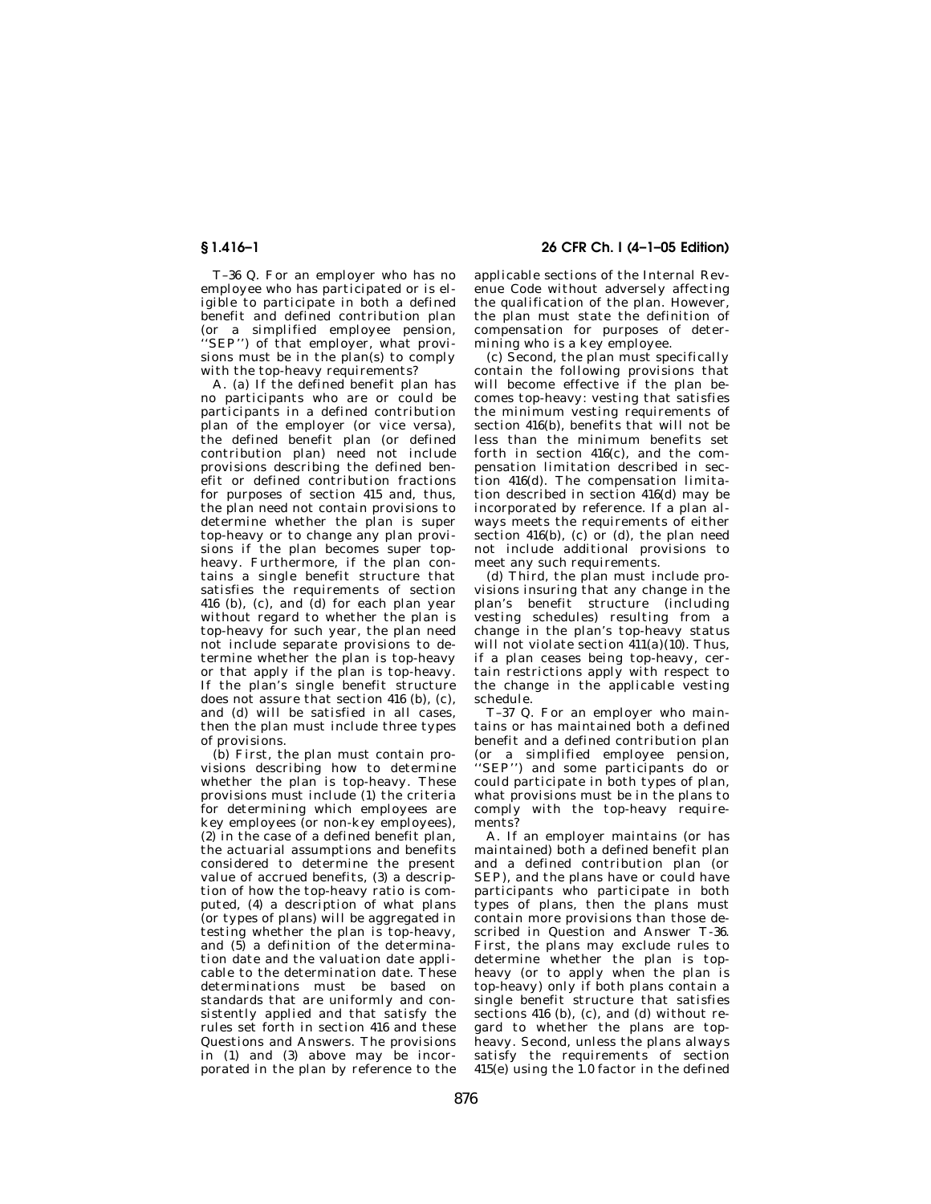**§ 1.416–1 26 CFR Ch. I (4–1–05 Edition)** 

T–36 Q. For an employer who has no employee who has participated or is eligible to participate in both a defined benefit and defined contribution plan (or a simplified employee pension, ''SEP'') of that employer, what provisions must be in the plan(s) to comply with the top-heavy requirements?

A. (a) If the defined benefit plan has no participants who are or could be participants in a defined contribution plan of the employer (or vice versa), the defined benefit plan (or defined contribution plan) need not include provisions describing the defined benefit or defined contribution fractions for purposes of section 415 and, thus, the plan need not contain provisions to determine whether the plan is super top-heavy or to change any plan provisions if the plan becomes super topheavy. Furthermore, if the plan contains a single benefit structure that satisfies the requirements of section 416 (b), (c), and (d) for each plan year without regard to whether the plan is top-heavy for such year, the plan need not include separate provisions to determine whether the plan is top-heavy or that apply if the plan is top-heavy. If the plan's single benefit structure does not assure that section 416 (b), (c), and (d) will be satisfied in all cases, then the plan must include three types of provisions.

(b) First, the plan must contain provisions describing how to determine whether the plan is top-heavy. These provisions must include (1) the criteria for determining which employees are key employees (or non-key employees), (2) in the case of a defined benefit plan, the actuarial assumptions and benefits considered to determine the present value of accrued benefits, (3) a description of how the top-heavy ratio is computed, (4) a description of what plans (or types of plans) will be aggregated in testing whether the plan is top-heavy, and (5) a definition of the determination date and the valuation date applicable to the determination date. These determinations must be based on standards that are uniformly and consistently applied and that satisfy the rules set forth in section 416 and these Questions and Answers. The provisions in (1) and (3) above may be incorporated in the plan by reference to the

applicable sections of the Internal Revenue Code without adversely affecting the qualification of the plan. However, the plan must state the definition of compensation for purposes of determining who is a key employee.

(c) Second, the plan must specifically contain the following provisions that will become effective if the plan becomes top-heavy: vesting that satisfies the minimum vesting requirements of section 416(b), benefits that will not be less than the minimum benefits set forth in section 416(c), and the compensation limitation described in section 416(d). The compensation limitation described in section 416(d) may be incorporated by reference. If a plan always meets the requirements of either section  $416(b)$ , (c) or (d), the plan need not include additional provisions to meet any such requirements.

(d) Third, the plan must include provisions insuring that any change in the plan's benefit structure (including .<br>vesting schedules) resulting from a change in the plan's top-heavy status will not violate section  $411(a)(10)$ . Thus, if a plan ceases being top-heavy, certain restrictions apply with respect to the change in the applicable vesting schedule.

T–37 Q. For an employer who maintains or has maintained both a defined benefit and a defined contribution plan (or a simplified employee pension, ''SEP'') and some participants do or could participate in both types of plan, what provisions must be in the plans to comply with the top-heavy requirements?

A. If an employer maintains (or has maintained) both a defined benefit plan and a defined contribution plan (or SEP), and the plans have or could have participants who participate in both types of plans, then the plans must contain more provisions than those described in Question and Answer T-36. First, the plans may exclude rules to determine whether the plan is topheavy (or to apply when the plan is top-heavy) only if both plans contain a single benefit structure that satisfies sections 416 (b), (c), and (d) without regard to whether the plans are topheavy. Second, unless the plans always satisfy the requirements of section  $415(e)$  using the 1.0 factor in the defined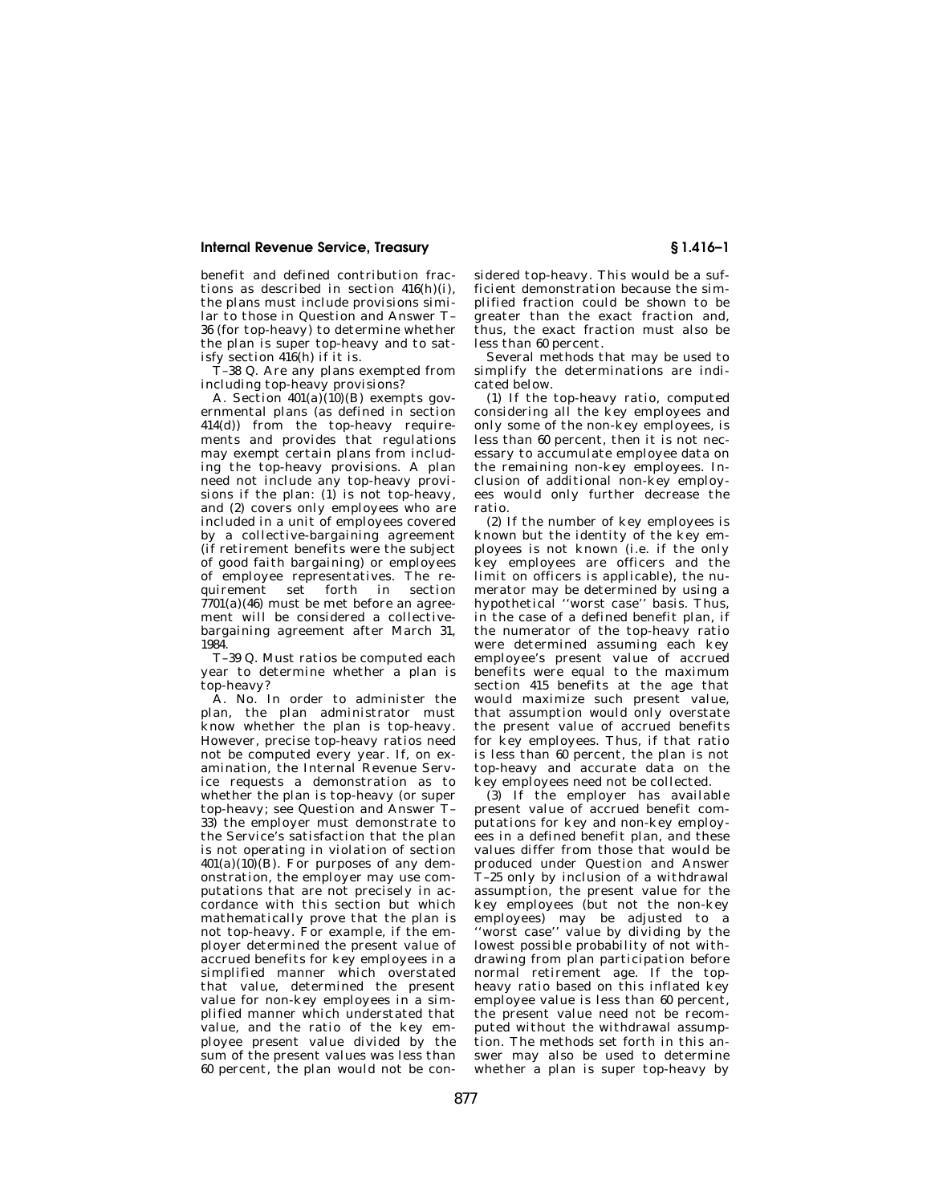benefit and defined contribution fractions as described in section 416(h)(i), the plans must include provisions similar to those in Question and Answer T– 36 (for top-heavy) to determine whether the plan is super top-heavy and to satisfy section 416(h) if it is.

T–38 Q. Are any plans exempted from including top-heavy provisions?

A. Section  $401(a)(10)(B)$  exempts governmental plans (as defined in section 414(d)) from the top-heavy requirements and provides that regulations may exempt certain plans from including the top-heavy provisions. A plan need not include any top-heavy provisions if the plan: (1) is not top-heavy, and (2) covers only employees who are included in a unit of employees covered by a collective-bargaining agreement (if retirement benefits were the subject of good faith bargaining) or employees of employee representatives. The requirement set forth in section  $7701(a)(46)$  must be met before an agreement will be considered a collectivebargaining agreement after March 31, 1984.

T–39 Q. Must ratios be computed each year to determine whether a plan is top-heavy?

A. No. In order to administer the plan, the plan administrator must know whether the plan is top-heavy. However, precise top-heavy ratios need not be computed every year. If, on examination, the Internal Revenue Service requests a demonstration as to whether the plan is top-heavy (or super top-heavy; see Question and Answer T– 33) the employer must demonstrate to the Service's satisfaction that the plan is not operating in violation of section  $401(a)(10)(B)$ . For purposes of any demonstration, the employer may use computations that are not precisely in accordance with this section but which mathematically prove that the plan is not top-heavy. For example, if the employer determined the present value of accrued benefits for key employees in a simplified manner which overstated that value, determined the present value for non-key employees in a simplified manner which understated that value, and the ratio of the key employee present value divided by the sum of the present values was less than 60 percent, the plan would not be considered top-heavy. This would be a sufficient demonstration because the simplified fraction could be shown to be greater than the exact fraction and, thus, the exact fraction must also be less than 60 percent.

Several methods that may be used to simplify the determinations are indicated below.

(1) If the top-heavy ratio, computed considering all the key employees and only some of the non-key employees, is less than 60 percent, then it is not necessary to accumulate employee data on the remaining non-key employees. Inclusion of additional non-key employees would only further decrease the ratio.

(2) If the number of key employees is known but the identity of the key employees is not known (i.e. if the only key employees are officers and the limit on officers is applicable), the numerator may be determined by using a hypothetical ''worst case'' basis. Thus, in the case of a defined benefit plan, if the numerator of the top-heavy ratio were determined assuming each key employee's present value of accrued benefits were equal to the maximum section 415 benefits at the age that would maximize such present value, that assumption would only overstate the present value of accrued benefits for key employees. Thus, if that ratio is less than 60 percent, the plan is not top-heavy and accurate data on the key employees need not be collected.

 $(3)$  If the employer has available present value of accrued benefit computations for key and non-key employees in a defined benefit plan, and these values differ from those that would be produced under Question and Answer T–25 only by inclusion of a withdrawal assumption, the present value for the key employees (but not the non-key employees) may be adjusted to a ''worst case'' value by dividing by the lowest possible probability of not withdrawing from plan participation before normal retirement age. If the topheavy ratio based on this inflated key employee value is less than 60 percent, the present value need not be recomputed without the withdrawal assumption. The methods set forth in this answer may also be used to determine whether a plan is super top-heavy by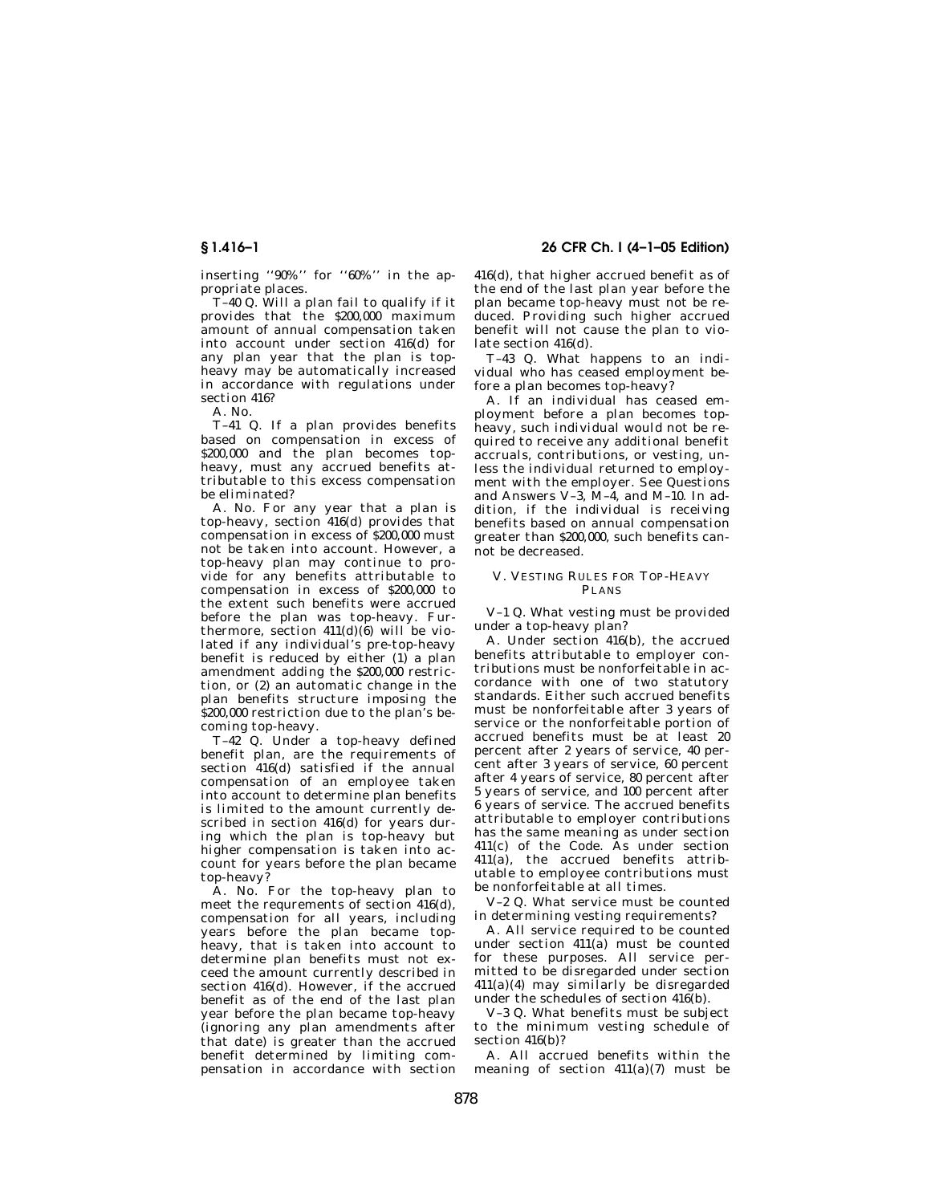**§ 1.416–1 26 CFR Ch. I (4–1–05 Edition)** 

inserting ''90%'' for ''60%'' in the appropriate places.

T–40 Q. Will a plan fail to qualify if it provides that the \$200,000 maximum amount of annual compensation taken into account under section 416(d) for any plan year that the plan is topheavy may be automatically increased in accordance with regulations under section 416?

A. No.

T–41 Q. If a plan provides benefits based on compensation in excess of \$200,000 and the plan becomes topheavy, must any accrued benefits attributable to this excess compensation be eliminated?

A. No. For any year that a plan is top-heavy, section 416(d) provides that compensation in excess of \$200,000 must not be taken into account. However, a top-heavy plan may continue to provide for any benefits attributable to compensation in excess of \$200,000 to the extent such benefits were accrued before the plan was top-heavy. Furthermore, section  $411(d)(6)$  will be violated if any individual's pre-top-heavy benefit is reduced by either (1) a plan amendment adding the \$200,000 restriction, or (2) an automatic change in the plan benefits structure imposing the \$200,000 restriction due to the plan's becoming top-heavy.

T–42 Q. Under a top-heavy defined benefit plan, are the requirements of section  $416(d)$  satisfied if the annual compensation of an employee taken into account to determine plan benefits is limited to the amount currently described in section 416(d) for years during which the plan is top-heavy but higher compensation is taken into account for years before the plan became top-heavy?

A. No. For the top-heavy plan to meet the requrements of section 416(d), compensation for all years, including years before the plan became topheavy, that is taken into account to determine plan benefits must not exceed the amount currently described in section 416(d). However, if the accrued benefit as of the end of the last plan year before the plan became top-heavy (ignoring any plan amendments after that date) is greater than the accrued benefit determined by limiting compensation in accordance with section

416(d), that higher accrued benefit as of the end of the last plan year before the plan became top-heavy must not be reduced. Providing such higher accrued benefit will not cause the plan to violate section 416(d).

T–43 Q. What happens to an individual who has ceased employment before a plan becomes top-heavy?

A. If an individual has ceased employment before a plan becomes topheavy, such individual would not be required to receive any additional benefit accruals, contributions, or vesting, unless the individual returned to employment with the employer. See Questions and Answers V–3, M–4, and M–10. In addition, if the individual is receiving benefits based on annual compensation greater than \$200,000, such benefits cannot be decreased.

### V. VESTING RULES FOR TOP-HEAVY PL ANS

V–1 Q. What vesting must be provided under a top-heavy plan?

A. Under section 416(b), the accrued benefits attributable to employer contributions must be nonforfeitable in accordance with one of two statutory standards. Either such accrued benefits must be nonforfeitable after 3 years of service or the nonforfeitable portion of accrued benefits must be at least 20 percent after 2 years of service, 40 percent after 3 years of service, 60 percent after 4 years of service, 80 percent after 5 years of service, and 100 percent after 6 years of service. The accrued benefits attributable to employer contributions has the same meaning as under section 411(c) of the Code. As under section 411(a), the accrued benefits attributable to employee contributions must be nonforfeitable at all times.

V–2 Q. What service must be counted in determining vesting requirements?

A. All service required to be counted under section 411(a) must be counted for these purposes. All service permitted to be disregarded under section 411(a)(4) may similarly be disregarded under the schedules of section 416(b).

V–3 Q. What benefits must be subject to the minimum vesting schedule of section 416(b)?

A. All accrued benefits within the meaning of section  $411(a)(7)$  must be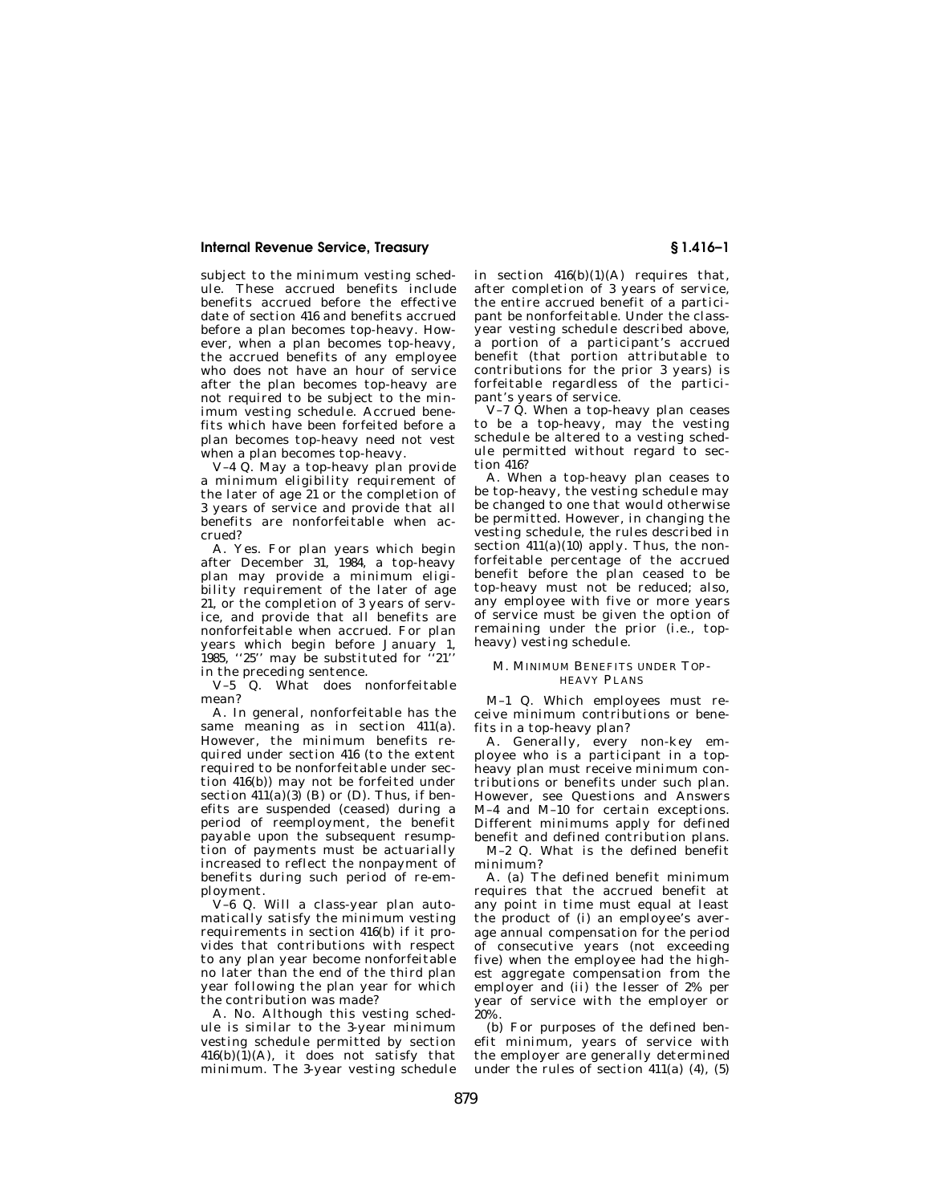subject to the minimum vesting schedule. These accrued benefits include benefits accrued before the effective date of section 416 and benefits accrued before a plan becomes top-heavy. However, when a plan becomes top-heavy, the accrued benefits of any employee who does not have an hour of service after the plan becomes top-heavy are not required to be subject to the minimum vesting schedule. Accrued benefits which have been forfeited before a plan becomes top-heavy need not vest when a plan becomes top-heavy.

V–4 Q. May a top-heavy plan provide a minimum eligibility requirement of the later of age 21 or the completion of 3 years of service and provide that all benefits are nonforfeitable when accrued?

A. Yes. For plan years which begin after December 31, 1984, a top-heavy plan may provide a minimum eligibility requirement of the later of age 21, or the completion of 3 years of service, and provide that all benefits are nonforfeitable when accrued. For plan years which begin before January 1, 1985, "25" may be substituted for in the preceding sentence.

V–5 Q. What does nonforfeitable mean?

A. In general, nonforfeitable has the same meaning as in section 411(a). However, the minimum benefits required under section 416 (to the extent required to be nonforfeitable under section 416(b)) may not be forfeited under section  $411(a)(3)$  (B) or (D). Thus, if benefits are suspended (ceased) during a period of reemployment, the benefit payable upon the subsequent resumption of payments must be actuarially increased to reflect the nonpayment of benefits during such period of re-employment.

V–6 Q. Will a class-year plan automatically satisfy the minimum vesting requirements in section 416(b) if it provides that contributions with respect to any plan year become nonforfeitable no later than the end of the third plan year following the plan year for which the contribution was made?

A. No. Although this vesting schedule is similar to the 3-year minimum vesting schedule permitted by section  $416(b)(1)(A)$ , it does not satisfy that minimum. The 3-year vesting schedule in section  $416(b)(1)(A)$  requires that, after completion of 3 years of service, the entire accrued benefit of a participant be nonforfeitable. Under the classyear vesting schedule described above, a portion of a participant's accrued benefit (that portion attributable to contributions for the prior 3 years) is forfeitable regardless of the participant's years of service.

V-7  $\check{Q}$ . When a top-heavy plan ceases to be a top-heavy, may the vesting schedule be altered to a vesting schedule permitted without regard to section 416?

A. When a top-heavy plan ceases to be top-heavy, the vesting schedule may be changed to one that would otherwise be permitted. However, in changing the vesting schedule, the rules described in section  $411(a)(10)$  apply. Thus, the nonforfeitable percentage of the accrued benefit before the plan ceased to be top-heavy must not be reduced; also, any employee with five or more years of service must be given the option of remaining under the prior (i.e., topheavy) vesting schedule.

### M. MINIMUM BENEFITS UNDER TOP-HEAVY PLANS

M–1 Q. Which employees must receive minimum contributions or benefits in a top-heavy plan?

A. Generally, every non-key employee who is a participant in a topheavy plan must receive minimum contributions or benefits under such plan. However, see Questions and Answers M–4 and M–10 for certain exceptions. Different minimums apply for defined benefit and defined contribution plans. M–2 Q. What is the defined benefit

minimum?

A. (a) The defined benefit minimum requires that the accrued benefit at any point in time must equal at least the product of (i) an employee's average annual compensation for the period of consecutive years (not exceeding five) when the employee had the highest aggregate compensation from the employer and (ii) the lesser of 2% per year of service with the employer or 20%.

(b) For purposes of the defined benefit minimum, years of service with the employer are generally determined under the rules of section  $411(a)$  (4), (5)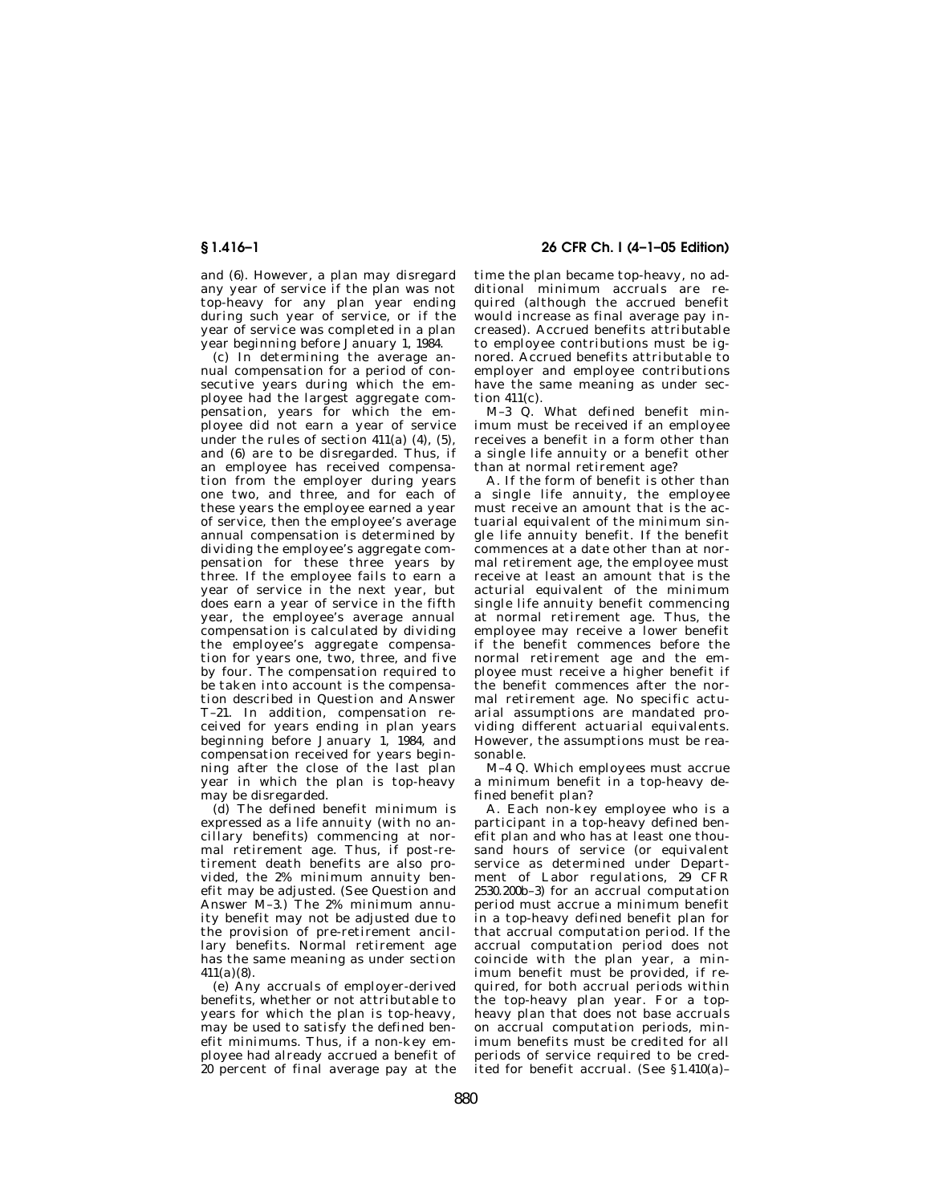and (6). However, a plan may disregard any year of service if the plan was not top-heavy for any plan year ending during such year of service, or if the year of service was completed in a plan year beginning before January 1, 1984.

(c) In determining the average annual compensation for a period of consecutive years during which the employee had the largest aggregate compensation, years for which the employee did not earn a year of service under the rules of section  $411(a)$   $(4)$ ,  $(5)$ and (6) are to be disregarded. Thus, if an employee has received compensation from the employer during years one two, and three, and for each of these years the employee earned a year of service, then the employee's average annual compensation is determined by dividing the employee's aggregate compensation for these three years by three. If the employee fails to earn a year of service in the next year, but does earn a year of service in the fifth year, the employee's average annual compensation is calculated by dividing the employee's aggregate compensation for years one, two, three, and five by four. The compensation required to be taken into account is the compensation described in Question and Answer T–21. In addition, compensation received for years ending in plan years beginning before January 1, 1984, and compensation received for years beginning after the close of the last plan year in which the plan is top-heavy may be disregarded.

(d) The defined benefit minimum is expressed as a life annuity (with no ancillary benefits) commencing at normal retirement age. Thus, if post-retirement death benefits are also provided, the 2% minimum annuity benefit may be adjusted. (See Question and Answer M–3.) The 2% minimum annuity benefit may not be adjusted due to the provision of pre-retirement ancillary benefits. Normal retirement age has the same meaning as under section  $411(a)(8)$ .

(e) Any accruals of employer-derived benefits, whether or not attributable to years for which the plan is top-heavy, may be used to satisfy the defined benefit minimums. Thus, if a non-key employee had already accrued a benefit of .<br>20 percent of final average pay at the

**§ 1.416–1 26 CFR Ch. I (4–1–05 Edition)** 

time the plan became top-heavy, no additional minimum accruals are required (although the accrued benefit would increase as final average pay increased). Accrued benefits attributable to employee contributions must be ignored. Accrued benefits attributable to employer and employee contributions have the same meaning as under section 411(c).

M–3 Q. What defined benefit minimum must be received if an employee receives a benefit in a form other than a single life annuity or a benefit other than at normal retirement age?

A. If the form of benefit is other than a single life annuity, the employee must receive an amount that is the actuarial equivalent of the minimum single life annuity benefit. If the benefit commences at a date other than at normal retirement age, the employee must receive at least an amount that is the acturial equivalent of the minimum single life annuity benefit commencing at normal retirement age. Thus, the employee may receive a lower benefit if the benefit commences before the normal retirement age and the employee must receive a higher benefit if the benefit commences after the normal retirement age. No specific actuarial assumptions are mandated providing different actuarial equivalents. However, the assumptions must be reasonable.

M–4 Q. Which employees must accrue a minimum benefit in a top-heavy defined benefit plan?

A. Each non-key employee who is a participant in a top-heavy defined benefit plan and who has at least one thousand hours of service (or equivalent service as determined under Department of Labor regulations, 29 CFR 2530.200b–3) for an accrual computation period must accrue a minimum benefit in a top-heavy defined benefit plan for that accrual computation period. If the accrual computation period does not coincide with the plan year, a minimum benefit must be provided, if required, for both accrual periods within the top-heavy plan year. For a topheavy plan that does not base accruals on accrual computation periods, minimum benefits must be credited for all periods of service required to be credited for benefit accrual. (See §1.410(a)–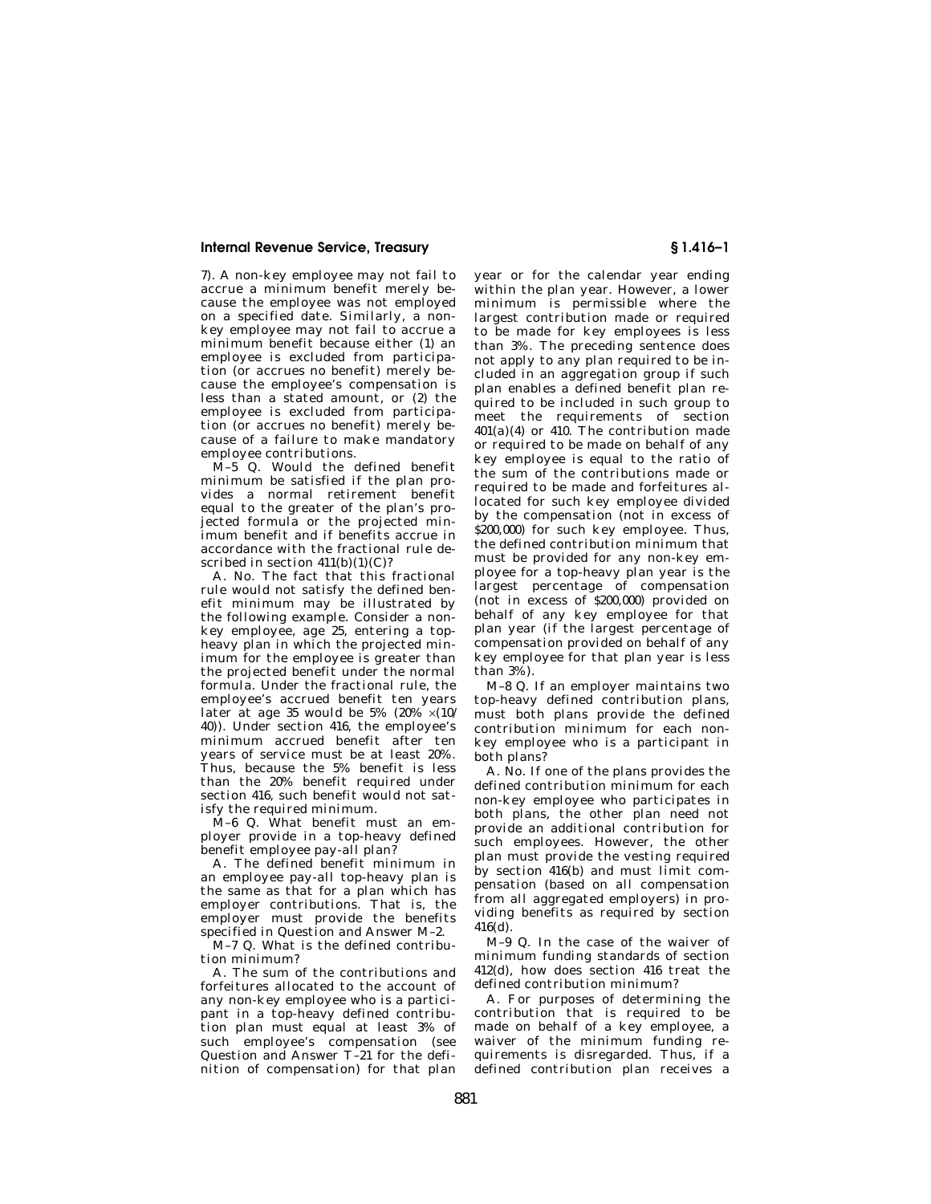7). A non-key employee may not fail to accrue a minimum benefit merely because the employee was not employed on a specified date. Similarly, a nonkey employee may not fail to accrue a minimum benefit because either (1) an employee is excluded from participation (or accrues no benefit) merely because the employee's compensation is less than a stated amount, or (2) the employee is excluded from participation (or accrues no benefit) merely because of a failure to make mandatory employee contributions.

 $\overrightarrow{M}-5$  Q. Would the defined benefit minimum be satisfied if the plan provides a normal retirement benefit equal to the greater of the plan's projected formula or the projected minimum benefit and if benefits accrue in accordance with the fractional rule described in section  $411(b)(1)(C)?$ 

A. No. The fact that this fractional rule would not satisfy the defined benefit minimum may be illustrated by the following example. Consider a nonkey employee, age 25, entering a topheavy plan in which the projected minimum for the employee is greater than the projected benefit under the normal formula. Under the fractional rule, the employee's accrued benefit ten years later at age 35 would be 5%  $(20\% \times (10)$ 40)). Under section 416, the employee's minimum accrued benefit after ten years of service must be at least 20%. Thus, because the 5% benefit is less than the 20% benefit required under section 416, such benefit would not satisfy the required minimum.

M–6 Q. What benefit must an employer provide in a top-heavy defined benefit employee pay-all plan?

A. The defined benefit minimum in an employee pay-all top-heavy plan is the same as that for a plan which has employer contributions. That is, the employer must provide the benefits specified in Question and Answer M–2.

M–7 Q. What is the defined contribution minimum?

A. The sum of the contributions and forfeitures allocated to the account of any non-key employee who is a participant in a top-heavy defined contribution plan must equal at least 3% of such employee's compensation (see Question and Answer T–21 for the definition of compensation) for that plan year or for the calendar year ending within the plan year. However, a lower minimum is permissible where the largest contribution made or required to be made for key employees is less than 3%. The preceding sentence does not apply to any plan required to be included in an aggregation group if such plan enables a defined benefit plan required to be included in such group to meet the requirements of section  $401(a)(4)$  or  $410$ . The contribution made or required to be made on behalf of any key employee is equal to the ratio of the sum of the contributions made or required to be made and forfeitures allocated for such key employee divided by the compensation (not in excess of \$200,000) for such key employee. Thus, the defined contribution minimum that must be provided for any non-key employee for a top-heavy plan year is the largest percentage of compensation (not in excess of \$200,000) provided on behalf of any key employee for that plan year (if the largest percentage of compensation provided on behalf of any key employee for that plan year is less than 3%).

M–8 Q. If an employer maintains two top-heavy defined contribution plans, must both plans provide the defined contribution minimum for each nonkey employee who is a participant in both plans?

A. No. If one of the plans provides the defined contribution minimum for each non-key employee who participates in both plans, the other plan need not provide an additional contribution for such employees. However, the other plan must provide the vesting required by section 416(b) and must limit compensation (based on all compensation from all aggregated employers) in providing benefits as required by section  $416(d)$ .

M–9 Q. In the case of the waiver of minimum funding standards of section 412(d), how does section 416 treat the defined contribution minimum?

A. For purposes of determining the contribution that is required to be made on behalf of a key employee, a waiver of the minimum funding requirements is disregarded. Thus, if a defined contribution plan receives a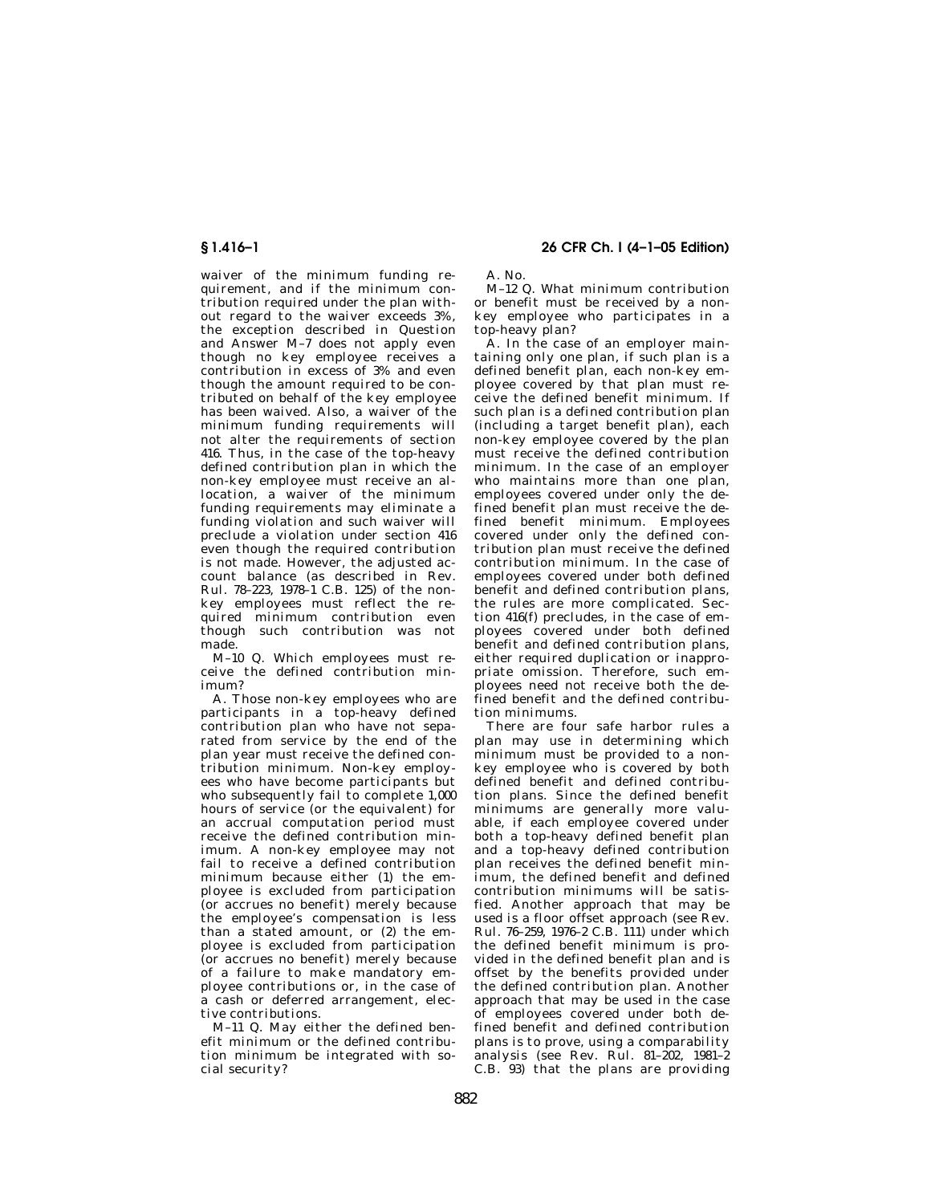waiver of the minimum funding requirement, and if the minimum contribution required under the plan without regard to the waiver exceeds 3%, the exception described in Question and Answer M–7 does not apply even though no key employee receives a contribution in excess of 3% and even though the amount required to be contributed on behalf of the key employee has been waived. Also, a waiver of the minimum funding requirements will not alter the requirements of section 416. Thus, in the case of the top-heavy defined contribution plan in which the non-key employee must receive an allocation, a waiver of the minimum funding requirements may eliminate a funding violation and such waiver will preclude a violation under section 416 even though the required contribution is not made. However, the adjusted account balance (as described in Rev. Rul. 78–223, 1978–1 C.B. 125) of the nonkey employees must reflect the required minimum contribution even though such contribution was not made.

M–10 Q. Which employees must receive the defined contribution minimum?

A. Those non-key employees who are participants in a top-heavy defined contribution plan who have not separated from service by the end of the plan year must receive the defined contribution minimum. Non-key employees who have become participants but who subsequently fail to complete 1,000 hours of service (or the equivalent) for an accrual computation period must receive the defined contribution minimum. A non-key employee may not fail to receive a defined contribution minimum because either (1) the employee is excluded from participation (or accrues no benefit) merely because the employee's compensation is less than a stated amount, or (2) the employee is excluded from participation (or accrues no benefit) merely because of a failure to make mandatory employee contributions or, in the case of a cash or deferred arrangement, elective contributions.

M–11 Q. May either the defined benefit minimum or the defined contribution minimum be integrated with social security?

# **§ 1.416–1 26 CFR Ch. I (4–1–05 Edition)**

A. No.

M–12 Q. What minimum contribution or benefit must be received by a nonkey employee who participates in a top-heavy plan?

A. In the case of an employer maintaining only one plan, if such plan is a defined benefit plan, each non-key employee covered by that plan must receive the defined benefit minimum. If such plan is a defined contribution plan (including a target benefit plan), each non-key employee covered by the plan must receive the defined contribution minimum. In the case of an employer who maintains more than one plan, employees covered under only the defined benefit plan must receive the defined benefit minimum. Employees covered under only the defined contribution plan must receive the defined contribution minimum. In the case of employees covered under both defined benefit and defined contribution plans, the rules are more complicated. Section 416(f) precludes, in the case of employees covered under both defined benefit and defined contribution plans, either required duplication or inappropriate omission. Therefore, such employees need not receive both the defined benefit and the defined contribution minimums.

There are four safe harbor rules a plan may use in determining which .<br>minimum must be provided to a nonkey employee who is covered by both defined benefit and defined contribution plans. Since the defined benefit minimums are generally more valuable, if each employee covered under both a top-heavy defined benefit plan and a top-heavy defined contribution plan receives the defined benefit minimum, the defined benefit and defined contribution minimums will be satisfied. Another approach that may be used is a floor offset approach (see Rev. Rul. 76–259, 1976–2 C.B. 111) under which the defined benefit minimum is provided in the defined benefit plan and is offset by the benefits provided under the defined contribution plan. Another approach that may be used in the case of employees covered under both defined benefit and defined contribution plans is to prove, using a comparability analysis (see Rev. Rul. 81–202, 1981–2 C.B. 93) that the plans are providing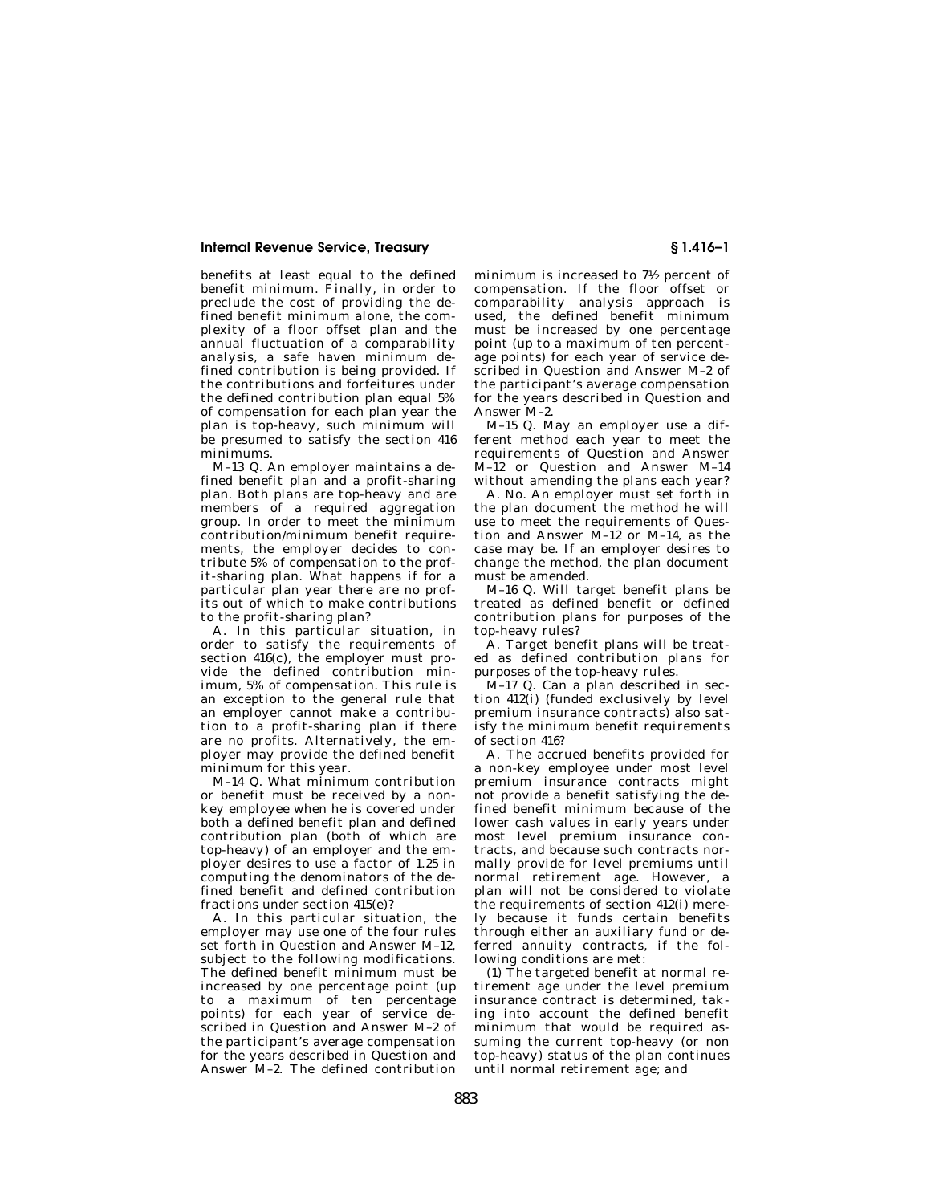benefits at least equal to the defined benefit minimum. Finally, in order to preclude the cost of providing the defined benefit minimum alone, the complexity of a floor offset plan and the annual fluctuation of a comparability analysis, a safe haven minimum defined contribution is being provided. If the contributions and forfeitures under the defined contribution plan equal 5% of compensation for each plan year the plan is top-heavy, such minimum will be presumed to satisfy the section 416 minimums.

M–13 Q. An employer maintains a defined benefit plan and a profit-sharing plan. Both plans are top-heavy and are members of a required aggregation group. In order to meet the minimum contribution/minimum benefit requirements, the employer decides to contribute 5% of compensation to the profit-sharing plan. What happens if for a particular plan year there are no profits out of which to make contributions to the profit-sharing plan?

A. In this particular situation, in order to satisfy the requirements of section  $416(c)$ , the employer must provide the defined contribution minimum, 5% of compensation. This rule is an exception to the general rule that an employer cannot make a contribution to a profit-sharing plan if there are no profits. Alternatively, the employer may provide the defined benefit minimum for this year.

M–14 Q. What minimum contribution or benefit must be received by a nonkey employee when he is covered under both a defined benefit plan and defined contribution plan (both of which are top-heavy) of an employer and the employer desires to use a factor of 1.25 in computing the denominators of the defined benefit and defined contribution fractions under section 415(e)?

A. In this particular situation, the employer may use one of the four rules set forth in Question and Answer M–12, subject to the following modifications. The defined benefit minimum must be increased by one percentage point (up to a maximum of ten percentage points) for each year of service described in Question and Answer M–2 of the participant's average compensation for the years described in Question and Answer M–2. The defined contribution

minimum is increased to 71⁄2 percent of compensation. If the floor offset or comparability analysis approach is used, the defined benefit minimum must be increased by one percentage point (up to a maximum of ten percentage points) for each year of service described in Question and Answer M–2 of the participant's average compensation for the years described in Question and Answer M–2.

M–15 Q. May an employer use a different method each year to meet the requirements of Question and Answer M–12 or Question and Answer M–14 without amending the plans each year?

A. No. An employer must set forth in the plan document the method he will use to meet the requirements of Question and Answer M–12 or M–14, as the case may be. If an employer desires to change the method, the plan document must be amended.

M–16 Q. Will target benefit plans be treated as defined benefit or defined contribution plans for purposes of the top-heavy rules?

A. Target benefit plans will be treated as defined contribution plans for purposes of the top-heavy rules.

M–17 Q. Can a plan described in section 412(i) (funded exclusively by level premium insurance contracts) also satisfy the minimum benefit requirements of section 416?

A. The accrued benefits provided for a non-key employee under most level premium insurance contracts might not provide a benefit satisfying the defined benefit minimum because of the lower cash values in early years under most level premium insurance contracts, and because such contracts normally provide for level premiums until normal retirement age. However, a plan will not be considered to violate the requirements of section 412(i) merely because it funds certain benefits through either an auxiliary fund or deferred annuity contracts, if the following conditions are met:

(1) The targeted benefit at normal retirement age under the level premium insurance contract is determined, taking into account the defined benefit minimum that would be required assuming the current top-heavy (or non top-heavy) status of the plan continues until normal retirement age; and